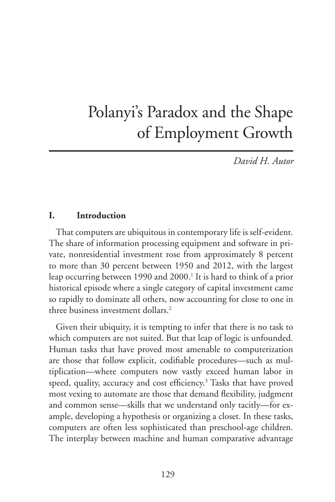# Polanyi's Paradox and the Shape of Employment Growth

*David H. Autor*

### **I. Introduction**

That computers are ubiquitous in contemporary life is self-evident. The share of information processing equipment and software in private, nonresidential investment rose from approximately 8 percent to more than 30 percent between 1950 and 2012, with the largest leap occurring between 1990 and 2000.<sup>1</sup> It is hard to think of a prior historical episode where a single category of capital investment came so rapidly to dominate all others, now accounting for close to one in three business investment dollars.<sup>2</sup>

Given their ubiquity, it is tempting to infer that there is no task to which computers are not suited. But that leap of logic is unfounded. Human tasks that have proved most amenable to computerization are those that follow explicit, codifiable procedures—such as multiplication—where computers now vastly exceed human labor in speed, quality, accuracy and cost efficiency.<sup>3</sup> Tasks that have proved most vexing to automate are those that demand flexibility, judgment and common sense—skills that we understand only tacitly—for example, developing a hypothesis or organizing a closet. In these tasks, computers are often less sophisticated than preschool-age children. The interplay between machine and human comparative advantage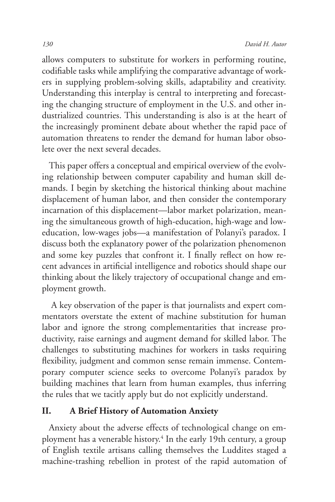allows computers to substitute for workers in performing routine, codifiable tasks while amplifying the comparative advantage of workers in supplying problem-solving skills, adaptability and creativity. Understanding this interplay is central to interpreting and forecasting the changing structure of employment in the U.S. and other industrialized countries. This understanding is also is at the heart of the increasingly prominent debate about whether the rapid pace of automation threatens to render the demand for human labor obsolete over the next several decades.

This paper offers a conceptual and empirical overview of the evolving relationship between computer capability and human skill demands. I begin by sketching the historical thinking about machine displacement of human labor, and then consider the contemporary incarnation of this displacement—labor market polarization, meaning the simultaneous growth of high-education, high-wage and loweducation, low-wages jobs—a manifestation of Polanyi's paradox. I discuss both the explanatory power of the polarization phenomenon and some key puzzles that confront it. I finally reflect on how recent advances in artificial intelligence and robotics should shape our thinking about the likely trajectory of occupational change and employment growth.

 A key observation of the paper is that journalists and expert commentators overstate the extent of machine substitution for human labor and ignore the strong complementarities that increase productivity, raise earnings and augment demand for skilled labor. The challenges to substituting machines for workers in tasks requiring flexibility, judgment and common sense remain immense. Contemporary computer science seeks to overcome Polanyi's paradox by building machines that learn from human examples, thus inferring the rules that we tacitly apply but do not explicitly understand.

## **II. A Brief History of Automation Anxiety**

Anxiety about the adverse effects of technological change on employment has a venerable history.<sup>4</sup> In the early 19th century, a group of English textile artisans calling themselves the Luddites staged a machine-trashing rebellion in protest of the rapid automation of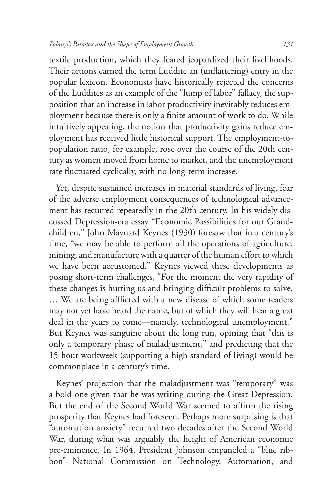textile production, which they feared jeopardized their livelihoods. Their actions earned the term Luddite an (unflattering) entry in the popular lexicon. Economists have historically rejected the concerns of the Luddites as an example of the "lump of labor" fallacy, the supposition that an increase in labor productivity inevitably reduces employment because there is only a finite amount of work to do. While intuitively appealing, the notion that productivity gains reduce employment has received little historical support. The employment-topopulation ratio, for example, rose over the course of the 20th century as women moved from home to market, and the unemployment rate fluctuated cyclically, with no long-term increase.

Yet, despite sustained increases in material standards of living, fear of the adverse employment consequences of technological advancement has recurred repeatedly in the 20th century. In his widely discussed Depression-era essay "Economic Possibilities for our Grandchildren," John Maynard Keynes (1930) foresaw that in a century's time, "we may be able to perform all the operations of agriculture, mining, and manufacture with a quarter of the human effort to which we have been accustomed." Keynes viewed these developments as posing short-term challenges, "For the moment the very rapidity of these changes is hurting us and bringing difficult problems to solve. … We are being afflicted with a new disease of which some readers may not yet have heard the name, but of which they will hear a great deal in the years to come—namely, technological unemployment." But Keynes was sanguine about the long run, opining that "this is only a temporary phase of maladjustment," and predicting that the 15-hour workweek (supporting a high standard of living) would be commonplace in a century's time.

Keynes' projection that the maladjustment was "temporary" was a bold one given that he was writing during the Great Depression. But the end of the Second World War seemed to affirm the rising prosperity that Keynes had foreseen. Perhaps more surprising is that "automation anxiety" recurred two decades after the Second World War, during what was arguably the height of American economic pre-eminence. In 1964, President Johnson empaneled a "blue ribbon" National Commission on Technology, Automation, and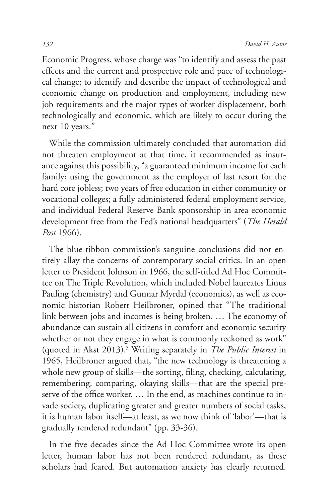Economic Progress, whose charge was "to identify and assess the past effects and the current and prospective role and pace of technological change; to identify and describe the impact of technological and economic change on production and employment, including new job requirements and the major types of worker displacement, both technologically and economic, which are likely to occur during the next 10 years."

While the commission ultimately concluded that automation did not threaten employment at that time, it recommended as insurance against this possibility, "a guaranteed minimum income for each family; using the government as the employer of last resort for the hard core jobless; two years of free education in either community or vocational colleges; a fully administered federal employment service, and individual Federal Reserve Bank sponsorship in area economic development free from the Fed's national headquarters" (*The Herald Post* 1966).

The blue-ribbon commission's sanguine conclusions did not entirely allay the concerns of contemporary social critics. In an open letter to President Johnson in 1966, the self-titled Ad Hoc Committee on The Triple Revolution, which included Nobel laureates Linus Pauling (chemistry) and Gunnar Myrdal (economics), as well as economic historian Robert Heilbroner, opined that "The traditional link between jobs and incomes is being broken. … The economy of abundance can sustain all citizens in comfort and economic security whether or not they engage in what is commonly reckoned as work" (quoted in Akst 2013).5 Writing separately in *The Public Interest* in 1965, Heilbroner argued that, "the new technology is threatening a whole new group of skills—the sorting, filing, checking, calculating, remembering, comparing, okaying skills—that are the special preserve of the office worker. … In the end, as machines continue to invade society, duplicating greater and greater numbers of social tasks, it is human labor itself—at least, as we now think of 'labor'—that is gradually rendered redundant" (pp. 33-36).

In the five decades since the Ad Hoc Committee wrote its open letter, human labor has not been rendered redundant, as these scholars had feared. But automation anxiety has clearly returned.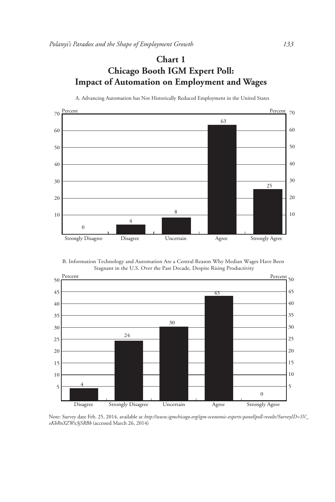# **Chart 1 Chicago Booth IGM Expert Poll: Impact of Automation on Employment and Wages**

A. Advancing Automation has Not Historically Reduced Employment in the United States



B. Information Technology and Automation Are a Central Reason Why Median Wages Have Been Stagnant in the U.S. Over the Past Decade, Despite Rising Productivity



Note: Survey date Feb. 25, 2014, available at *http://www.igmchicago.org/igm-economic-experts-panel/poll-results?SurveyID=SV\_ eKbRnXZWx3jSRBb* (accessed March 26, 2014)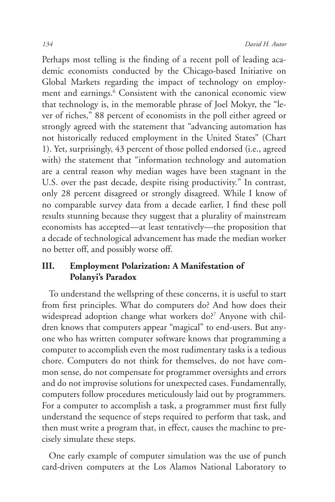Perhaps most telling is the finding of a recent poll of leading academic economists conducted by the Chicago-based Initiative on Global Markets regarding the impact of technology on employment and earnings.<sup>6</sup> Consistent with the canonical economic view that technology is, in the memorable phrase of Joel Mokyr, the "lever of riches," 88 percent of economists in the poll either agreed or strongly agreed with the statement that "advancing automation has not historically reduced employment in the United States" (Chart 1). Yet, surprisingly, 43 percent of those polled endorsed (i.e., agreed with) the statement that "information technology and automation are a central reason why median wages have been stagnant in the U.S. over the past decade, despite rising productivity." In contrast, only 28 percent disagreed or strongly disagreed. While I know of no comparable survey data from a decade earlier, I find these poll results stunning because they suggest that a plurality of mainstream economists has accepted—at least tentatively—the proposition that a decade of technological advancement has made the median worker no better off, and possibly worse off.

## **III. Employment Polarization: A Manifestation of Polanyi's Paradox**

To understand the wellspring of these concerns, it is useful to start from first principles. What do computers do? And how does their widespread adoption change what workers do?7 Anyone with children knows that computers appear "magical" to end-users. But anyone who has written computer software knows that programming a computer to accomplish even the most rudimentary tasks is a tedious chore. Computers do not think for themselves, do not have common sense, do not compensate for programmer oversights and errors and do not improvise solutions for unexpected cases. Fundamentally, computers follow procedures meticulously laid out by programmers. For a computer to accomplish a task, a programmer must first fully understand the sequence of steps required to perform that task, and then must write a program that, in effect, causes the machine to precisely simulate these steps.

One early example of computer simulation was the use of punch card-driven computers at the Los Alamos National Laboratory to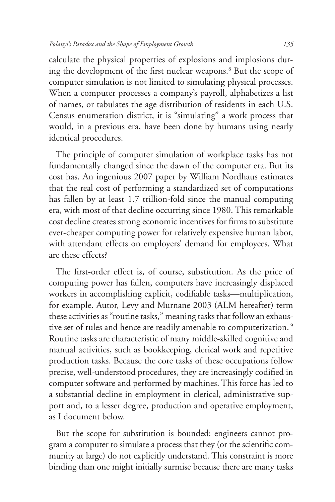calculate the physical properties of explosions and implosions during the development of the first nuclear weapons.<sup>8</sup> But the scope of computer simulation is not limited to simulating physical processes. When a computer processes a company's payroll, alphabetizes a list of names, or tabulates the age distribution of residents in each U.S. Census enumeration district, it is "simulating" a work process that would, in a previous era, have been done by humans using nearly identical procedures.

The principle of computer simulation of workplace tasks has not fundamentally changed since the dawn of the computer era. But its cost has. An ingenious 2007 paper by William Nordhaus estimates that the real cost of performing a standardized set of computations has fallen by at least 1.7 trillion-fold since the manual computing era, with most of that decline occurring since 1980. This remarkable cost decline creates strong economic incentives for firms to substitute ever-cheaper computing power for relatively expensive human labor, with attendant effects on employers' demand for employees. What are these effects?

The first-order effect is, of course, substitution. As the price of computing power has fallen, computers have increasingly displaced workers in accomplishing explicit, codifiable tasks—multiplication, for example. Autor, Levy and Murnane 2003 (ALM hereafter) term these activities as "routine tasks," meaning tasks that follow an exhaustive set of rules and hence are readily amenable to computerization.<sup>9</sup> Routine tasks are characteristic of many middle-skilled cognitive and manual activities, such as bookkeeping, clerical work and repetitive production tasks. Because the core tasks of these occupations follow precise, well-understood procedures, they are increasingly codified in computer software and performed by machines. This force has led to a substantial decline in employment in clerical, administrative support and, to a lesser degree, production and operative employment, as I document below.

But the scope for substitution is bounded: engineers cannot program a computer to simulate a process that they (or the scientific community at large) do not explicitly understand. This constraint is more binding than one might initially surmise because there are many tasks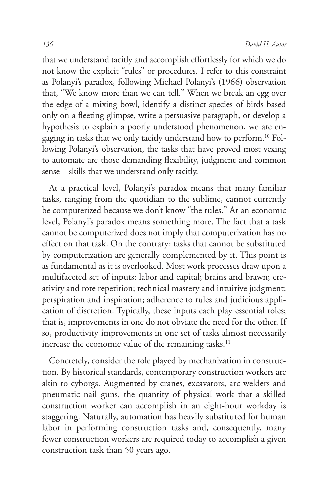that we understand tacitly and accomplish effortlessly for which we do not know the explicit "rules" or procedures. I refer to this constraint as Polanyi's paradox, following Michael Polanyi's (1966) observation that, "We know more than we can tell." When we break an egg over the edge of a mixing bowl, identify a distinct species of birds based only on a fleeting glimpse, write a persuasive paragraph, or develop a hypothesis to explain a poorly understood phenomenon, we are engaging in tasks that we only tacitly understand how to perform.<sup>10</sup> Following Polanyi's observation, the tasks that have proved most vexing to automate are those demanding flexibility, judgment and common sense—skills that we understand only tacitly.

At a practical level, Polanyi's paradox means that many familiar tasks, ranging from the quotidian to the sublime, cannot currently be computerized because we don't know "the rules." At an economic level, Polanyi's paradox means something more. The fact that a task cannot be computerized does not imply that computerization has no effect on that task. On the contrary: tasks that cannot be substituted by computerization are generally complemented by it. This point is as fundamental as it is overlooked. Most work processes draw upon a multifaceted set of inputs: labor and capital; brains and brawn; creativity and rote repetition; technical mastery and intuitive judgment; perspiration and inspiration; adherence to rules and judicious application of discretion. Typically, these inputs each play essential roles; that is, improvements in one do not obviate the need for the other. If so, productivity improvements in one set of tasks almost necessarily increase the economic value of the remaining tasks.<sup>11</sup>

Concretely, consider the role played by mechanization in construction. By historical standards, contemporary construction workers are akin to cyborgs. Augmented by cranes, excavators, arc welders and pneumatic nail guns, the quantity of physical work that a skilled construction worker can accomplish in an eight-hour workday is staggering. Naturally, automation has heavily substituted for human labor in performing construction tasks and, consequently, many fewer construction workers are required today to accomplish a given construction task than 50 years ago.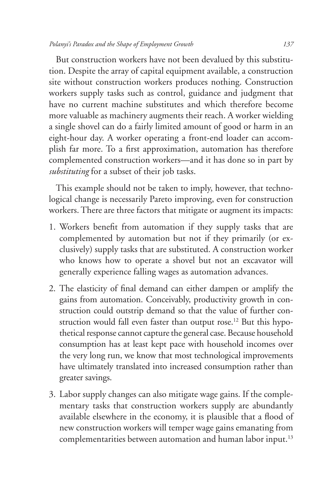But construction workers have not been devalued by this substitution. Despite the array of capital equipment available, a construction site without construction workers produces nothing. Construction workers supply tasks such as control, guidance and judgment that have no current machine substitutes and which therefore become more valuable as machinery augments their reach. A worker wielding a single shovel can do a fairly limited amount of good or harm in an eight-hour day. A worker operating a front-end loader can accomplish far more. To a first approximation, automation has therefore complemented construction workers—and it has done so in part by *substituting* for a subset of their job tasks.

This example should not be taken to imply, however, that technological change is necessarily Pareto improving, even for construction workers. There are three factors that mitigate or augment its impacts:

- 1. Workers benefit from automation if they supply tasks that are complemented by automation but not if they primarily (or exclusively) supply tasks that are substituted. A construction worker who knows how to operate a shovel but not an excavator will generally experience falling wages as automation advances.
- 2. The elasticity of final demand can either dampen or amplify the gains from automation. Conceivably, productivity growth in construction could outstrip demand so that the value of further construction would fall even faster than output rose.<sup>12</sup> But this hypothetical response cannot capture the general case. Because household consumption has at least kept pace with household incomes over the very long run, we know that most technological improvements have ultimately translated into increased consumption rather than greater savings.
- 3. Labor supply changes can also mitigate wage gains. If the complementary tasks that construction workers supply are abundantly available elsewhere in the economy, it is plausible that a flood of new construction workers will temper wage gains emanating from complementarities between automation and human labor input.<sup>13</sup>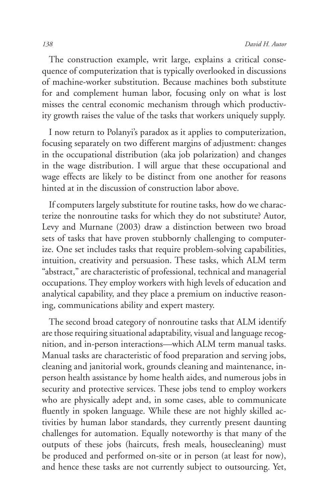The construction example, writ large, explains a critical consequence of computerization that is typically overlooked in discussions of machine-worker substitution. Because machines both substitute for and complement human labor, focusing only on what is lost misses the central economic mechanism through which productivity growth raises the value of the tasks that workers uniquely supply.

I now return to Polanyi's paradox as it applies to computerization, focusing separately on two different margins of adjustment: changes in the occupational distribution (aka job polarization) and changes in the wage distribution. I will argue that these occupational and wage effects are likely to be distinct from one another for reasons hinted at in the discussion of construction labor above.

If computers largely substitute for routine tasks, how do we characterize the nonroutine tasks for which they do not substitute? Autor, Levy and Murnane (2003) draw a distinction between two broad sets of tasks that have proven stubbornly challenging to computerize. One set includes tasks that require problem-solving capabilities, intuition, creativity and persuasion. These tasks, which ALM term "abstract," are characteristic of professional, technical and managerial occupations. They employ workers with high levels of education and analytical capability, and they place a premium on inductive reasoning, communications ability and expert mastery.

The second broad category of nonroutine tasks that ALM identify are those requiring situational adaptability, visual and language recognition, and in-person interactions—which ALM term manual tasks. Manual tasks are characteristic of food preparation and serving jobs, cleaning and janitorial work, grounds cleaning and maintenance, inperson health assistance by home health aides, and numerous jobs in security and protective services. These jobs tend to employ workers who are physically adept and, in some cases, able to communicate fluently in spoken language. While these are not highly skilled activities by human labor standards, they currently present daunting challenges for automation. Equally noteworthy is that many of the outputs of these jobs (haircuts, fresh meals, housecleaning) must be produced and performed on-site or in person (at least for now), and hence these tasks are not currently subject to outsourcing. Yet,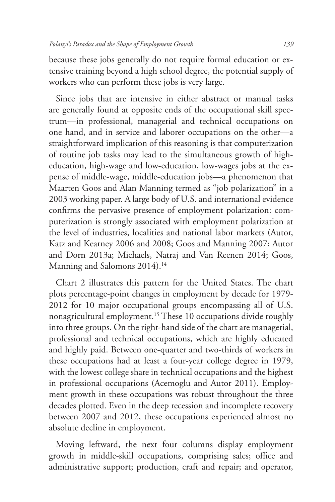because these jobs generally do not require formal education or extensive training beyond a high school degree, the potential supply of workers who can perform these jobs is very large.

Since jobs that are intensive in either abstract or manual tasks are generally found at opposite ends of the occupational skill spectrum—in professional, managerial and technical occupations on one hand, and in service and laborer occupations on the other—a straightforward implication of this reasoning is that computerization of routine job tasks may lead to the simultaneous growth of higheducation, high-wage and low-education, low-wages jobs at the expense of middle-wage, middle-education jobs—a phenomenon that Maarten Goos and Alan Manning termed as "job polarization" in a 2003 working paper. A large body of U.S. and international evidence confirms the pervasive presence of employment polarization: computerization is strongly associated with employment polarization at the level of industries, localities and national labor markets (Autor, Katz and Kearney 2006 and 2008; Goos and Manning 2007; Autor and Dorn 2013a; Michaels, Natraj and Van Reenen 2014; Goos, Manning and Salomons 2014).<sup>14</sup>

Chart 2 illustrates this pattern for the United States. The chart plots percentage-point changes in employment by decade for 1979- 2012 for 10 major occupational groups encompassing all of U.S. nonagricultural employment.<sup>15</sup> These 10 occupations divide roughly into three groups. On the right-hand side of the chart are managerial, professional and technical occupations, which are highly educated and highly paid. Between one-quarter and two-thirds of workers in these occupations had at least a four-year college degree in 1979, with the lowest college share in technical occupations and the highest in professional occupations (Acemoglu and Autor 2011). Employment growth in these occupations was robust throughout the three decades plotted. Even in the deep recession and incomplete recovery between 2007 and 2012, these occupations experienced almost no absolute decline in employment.

Moving leftward, the next four columns display employment growth in middle-skill occupations, comprising sales; office and administrative support; production, craft and repair; and operator,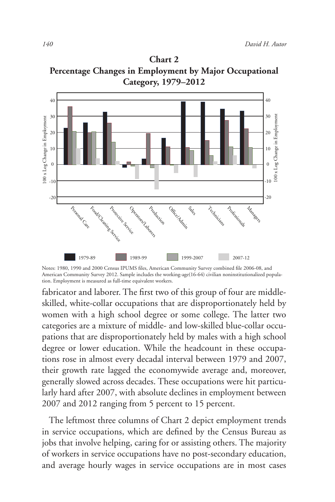

**Chart 2 Percentage Changes in Employment by Major Occupational** 

Notes: 1980, 1990 and 2000 Census IPUMS files, American Community Survey combined file 2006-08, and American Community Survey 2012. Sample includes the working-age(16-64) civilian noninstitutionalized population. Employment is measured as full-time equivalent workers.

fabricator and laborer. The first two of this group of four are middleskilled, white-collar occupations that are disproportionately held by women with a high school degree or some college. The latter two categories are a mixture of middle- and low-skilled blue-collar occupations that are disproportionately held by males with a high school degree or lower education. While the headcount in these occupations rose in almost every decadal interval between 1979 and 2007, their growth rate lagged the economywide average and, moreover, generally slowed across decades. These occupations were hit particularly hard after 2007, with absolute declines in employment between 2007 and 2012 ranging from 5 percent to 15 percent.

The leftmost three columns of Chart 2 depict employment trends in service occupations, which are defined by the Census Bureau as jobs that involve helping, caring for or assisting others. The majority of workers in service occupations have no post-secondary education, and average hourly wages in service occupations are in most cases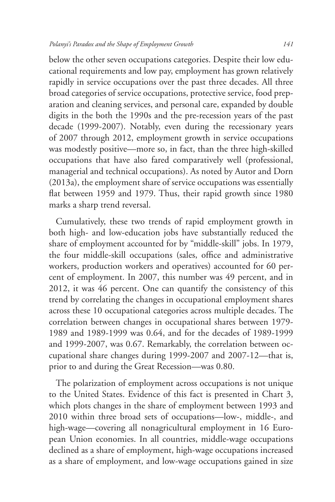below the other seven occupations categories. Despite their low educational requirements and low pay, employment has grown relatively rapidly in service occupations over the past three decades. All three broad categories of service occupations, protective service, food preparation and cleaning services, and personal care, expanded by double digits in the both the 1990s and the pre-recession years of the past decade (1999-2007). Notably, even during the recessionary years of 2007 through 2012, employment growth in service occupations was modestly positive—more so, in fact, than the three high-skilled occupations that have also fared comparatively well (professional, managerial and technical occupations). As noted by Autor and Dorn (2013a), the employment share of service occupations was essentially flat between 1959 and 1979. Thus, their rapid growth since 1980 marks a sharp trend reversal.

Cumulatively, these two trends of rapid employment growth in both high- and low-education jobs have substantially reduced the share of employment accounted for by "middle-skill" jobs. In 1979, the four middle-skill occupations (sales, office and administrative workers, production workers and operatives) accounted for 60 percent of employment. In 2007, this number was 49 percent, and in 2012, it was 46 percent. One can quantify the consistency of this trend by correlating the changes in occupational employment shares across these 10 occupational categories across multiple decades. The correlation between changes in occupational shares between 1979- 1989 and 1989-1999 was 0.64, and for the decades of 1989-1999 and 1999-2007, was 0.67. Remarkably, the correlation between occupational share changes during 1999-2007 and 2007-12—that is, prior to and during the Great Recession—was 0.80.

The polarization of employment across occupations is not unique to the United States. Evidence of this fact is presented in Chart 3, which plots changes in the share of employment between 1993 and 2010 within three broad sets of occupations—low-, middle-, and high-wage—covering all nonagricultural employment in 16 European Union economies. In all countries, middle-wage occupations declined as a share of employment, high-wage occupations increased as a share of employment, and low-wage occupations gained in size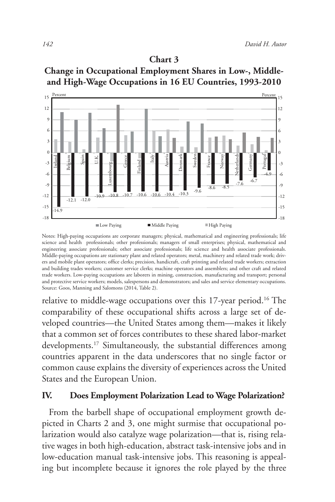





Notes: High-paying occupations are corporate managers; physical, mathematical and engineering professionals; life science and health professionals; other professionals; managers of small enterprises; physical, mathematical and engineering associate professionals; other associate professionals; life science and health associate professionals. Middle-paying occupations are stationary plant and related operators; metal, machinery and related trade work; drivers and mobile plant operators; office clerks; precision, handicraft, craft printing and related trade workers; extraction and building trades workers; customer service clerks; machine operators and assemblers; and other craft and related trade workers. Low-paying occupations are laborers in mining, construction, manufacturing and transport; personal and protective service workers; models, salespersons and demonstrators; and sales and service elementary occupations. Source: Goos, Manning and Salomons (2014, Table 2).

relative to middle-wage occupations over this 17-year period.<sup>16</sup> The comparability of these occupational shifts across a large set of developed countries—the United States among them—makes it likely that a common set of forces contributes to these shared labor-market developments.<sup>17</sup> Simultaneously, the substantial differences among countries apparent in the data underscores that no single factor or common cause explains the diversity of experiences across the United States and the European Union.

## **IV. Does Employment Polarization Lead to Wage Polarization?**

From the barbell shape of occupational employment growth depicted in Charts 2 and 3, one might surmise that occupational polarization would also catalyze wage polarization—that is, rising relative wages in both high-education, abstract task-intensive jobs and in low-education manual task-intensive jobs. This reasoning is appealing but incomplete because it ignores the role played by the three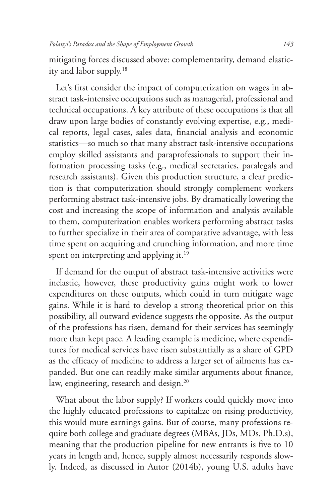mitigating forces discussed above: complementarity, demand elasticity and labor supply.<sup>18</sup>

Let's first consider the impact of computerization on wages in abstract task-intensive occupations such as managerial, professional and technical occupations. A key attribute of these occupations is that all draw upon large bodies of constantly evolving expertise, e.g., medical reports, legal cases, sales data, financial analysis and economic statistics—so much so that many abstract task-intensive occupations employ skilled assistants and paraprofessionals to support their information processing tasks (e.g., medical secretaries, paralegals and research assistants). Given this production structure, a clear prediction is that computerization should strongly complement workers performing abstract task-intensive jobs. By dramatically lowering the cost and increasing the scope of information and analysis available to them, computerization enables workers performing abstract tasks to further specialize in their area of comparative advantage, with less time spent on acquiring and crunching information, and more time spent on interpreting and applying it.<sup>19</sup>

If demand for the output of abstract task-intensive activities were inelastic, however, these productivity gains might work to lower expenditures on these outputs, which could in turn mitigate wage gains. While it is hard to develop a strong theoretical prior on this possibility, all outward evidence suggests the opposite. As the output of the professions has risen, demand for their services has seemingly more than kept pace. A leading example is medicine, where expenditures for medical services have risen substantially as a share of GPD as the efficacy of medicine to address a larger set of ailments has expanded. But one can readily make similar arguments about finance, law, engineering, research and design.<sup>20</sup>

What about the labor supply? If workers could quickly move into the highly educated professions to capitalize on rising productivity, this would mute earnings gains. But of course, many professions require both college and graduate degrees (MBAs, JDs, MDs, Ph.D.s), meaning that the production pipeline for new entrants is five to 10 years in length and, hence, supply almost necessarily responds slowly. Indeed, as discussed in Autor (2014b), young U.S. adults have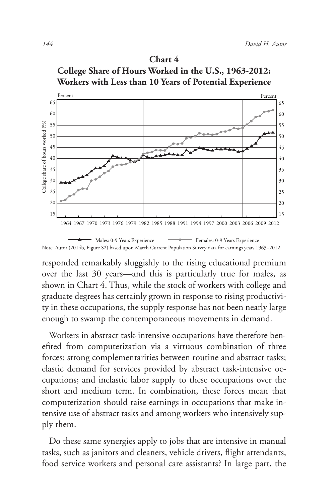



responded remarkably sluggishly to the rising educational premium over the last 30 years—and this is particularly true for males, as shown in Chart 4. Thus, while the stock of workers with college and graduate degrees has certainly grown in response to rising productivity in these occupations, the supply response has not been nearly large enough to swamp the contemporaneous movements in demand.

Workers in abstract task-intensive occupations have therefore benefited from computerization via a virtuous combination of three forces: strong complementarities between routine and abstract tasks; elastic demand for services provided by abstract task-intensive occupations; and inelastic labor supply to these occupations over the short and medium term. In combination, these forces mean that computerization should raise earnings in occupations that make intensive use of abstract tasks and among workers who intensively supply them.

Do these same synergies apply to jobs that are intensive in manual tasks, such as janitors and cleaners, vehicle drivers, flight attendants, food service workers and personal care assistants? In large part, the

Note: Autor (2014b, Figure S2) based upon March Current Population Survey data for earnings years 1963–2012.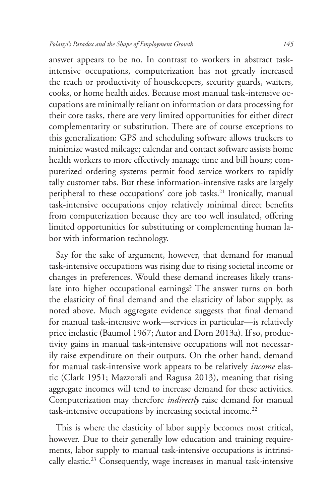answer appears to be no. In contrast to workers in abstract taskintensive occupations, computerization has not greatly increased the reach or productivity of housekeepers, security guards, waiters, cooks, or home health aides. Because most manual task-intensive occupations are minimally reliant on information or data processing for their core tasks, there are very limited opportunities for either direct complementarity or substitution. There are of course exceptions to this generalization: GPS and scheduling software allows truckers to minimize wasted mileage; calendar and contact software assists home health workers to more effectively manage time and bill hours; computerized ordering systems permit food service workers to rapidly tally customer tabs. But these information-intensive tasks are largely peripheral to these occupations' core job tasks.<sup>21</sup> Ironically, manual task-intensive occupations enjoy relatively minimal direct benefits from computerization because they are too well insulated, offering limited opportunities for substituting or complementing human labor with information technology.

Say for the sake of argument, however, that demand for manual task-intensive occupations was rising due to rising societal income or changes in preferences. Would these demand increases likely translate into higher occupational earnings? The answer turns on both the elasticity of final demand and the elasticity of labor supply, as noted above. Much aggregate evidence suggests that final demand for manual task-intensive work—services in particular—is relatively price inelastic (Baumol 1967; Autor and Dorn 2013a). If so, productivity gains in manual task-intensive occupations will not necessarily raise expenditure on their outputs. On the other hand, demand for manual task-intensive work appears to be relatively *income* elastic (Clark 1951; Mazzorali and Ragusa 2013), meaning that rising aggregate incomes will tend to increase demand for these activities. Computerization may therefore *indirectly* raise demand for manual task-intensive occupations by increasing societal income.<sup>22</sup>

This is where the elasticity of labor supply becomes most critical, however. Due to their generally low education and training requirements, labor supply to manual task-intensive occupations is intrinsically elastic.<sup>23</sup> Consequently, wage increases in manual task-intensive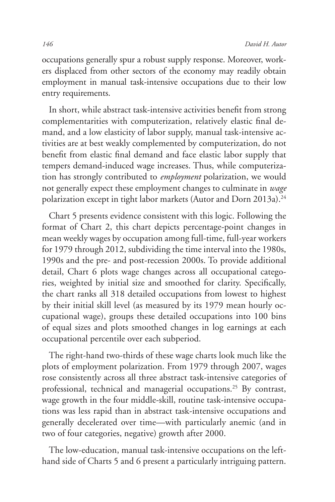occupations generally spur a robust supply response. Moreover, workers displaced from other sectors of the economy may readily obtain employment in manual task-intensive occupations due to their low entry requirements.

In short, while abstract task-intensive activities benefit from strong complementarities with computerization, relatively elastic final demand, and a low elasticity of labor supply, manual task-intensive activities are at best weakly complemented by computerization, do not benefit from elastic final demand and face elastic labor supply that tempers demand-induced wage increases. Thus, while computerization has strongly contributed to *employment* polarization, we would not generally expect these employment changes to culminate in *wage* polarization except in tight labor markets (Autor and Dorn 2013a).<sup>24</sup>

Chart 5 presents evidence consistent with this logic. Following the format of Chart 2, this chart depicts percentage-point changes in mean weekly wages by occupation among full-time, full-year workers for 1979 through 2012, subdividing the time interval into the 1980s, 1990s and the pre- and post-recession 2000s. To provide additional detail, Chart 6 plots wage changes across all occupational categories, weighted by initial size and smoothed for clarity. Specifically, the chart ranks all 318 detailed occupations from lowest to highest by their initial skill level (as measured by its 1979 mean hourly occupational wage), groups these detailed occupations into 100 bins of equal sizes and plots smoothed changes in log earnings at each occupational percentile over each subperiod.

The right-hand two-thirds of these wage charts look much like the plots of employment polarization. From 1979 through 2007, wages rose consistently across all three abstract task-intensive categories of professional, technical and managerial occupations.<sup>25</sup> By contrast, wage growth in the four middle-skill, routine task-intensive occupations was less rapid than in abstract task-intensive occupations and generally decelerated over time—with particularly anemic (and in two of four categories, negative) growth after 2000.

The low-education, manual task-intensive occupations on the lefthand side of Charts 5 and 6 present a particularly intriguing pattern.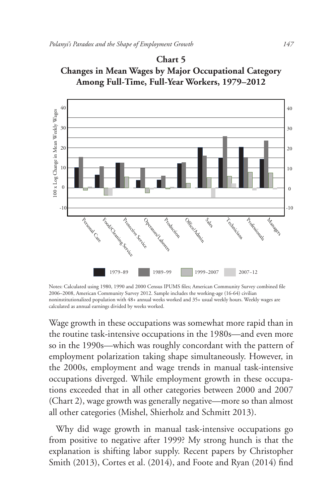



Notes: Calculated using 1980, 1990 and 2000 Census IPUMS files; American Community Survey combined file 2006–2008, American Community Survey 2012. Sample includes the working-age (16-64) civilian noninstitutionalized population with 48+ annual weeks worked and 35+ usual weekly hours. Weekly wages are calculated as annual earnings divided by weeks worked.

Wage growth in these occupations was somewhat more rapid than in the routine task-intensive occupations in the 1980s—and even more so in the 1990s—which was roughly concordant with the pattern of employment polarization taking shape simultaneously. However, in the 2000s, employment and wage trends in manual task-intensive occupations diverged. While employment growth in these occupations exceeded that in all other categories between 2000 and 2007 (Chart 2), wage growth was generally negative—more so than almost all other categories (Mishel, Shierholz and Schmitt 2013).

Why did wage growth in manual task-intensive occupations go from positive to negative after 1999? My strong hunch is that the explanation is shifting labor supply. Recent papers by Christopher Smith (2013), Cortes et al. (2014), and Foote and Ryan (2014) find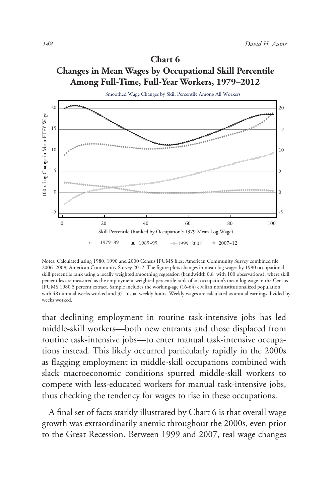



Notes: Calculated using 1980, 1990 and 2000 Census IPUMS files; American Community Survey combined file 2006–2008, American Community Survey 2012. The figure plots changes in mean log wages by 1980 occupational skill percentile rank using a locally weighted smoothing regression (bandwidth 0.8 with 100 observations), where skill percentiles are measured as the employment-weighted percentile rank of an occupation's mean log wage in the Census IPUMS 1980 5 percent extract. Sample includes the working-age (16-64) civilian noninstitutionalized population with 48+ annual weeks worked and 35+ usual weekly hours. Weekly wages are calculated as annual earnings divided by weeks worked.

that declining employment in routine task-intensive jobs has led middle-skill workers—both new entrants and those displaced from routine task-intensive jobs—to enter manual task-intensive occupations instead. This likely occurred particularly rapidly in the 2000s as flagging employment in middle-skill occupations combined with slack macroeconomic conditions spurred middle-skill workers to compete with less-educated workers for manual task-intensive jobs, thus checking the tendency for wages to rise in these occupations.

A final set of facts starkly illustrated by Chart 6 is that overall wage growth was extraordinarily anemic throughout the 2000s, even prior to the Great Recession. Between 1999 and 2007, real wage changes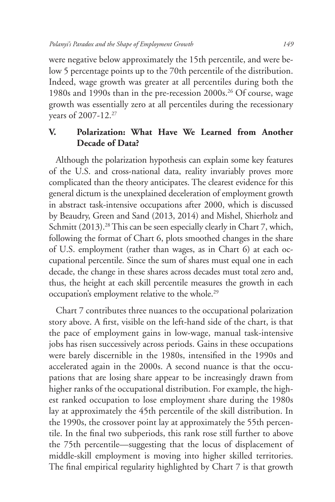were negative below approximately the 15th percentile, and were below 5 percentage points up to the 70th percentile of the distribution. Indeed, wage growth was greater at all percentiles during both the 1980s and 1990s than in the pre-recession 2000s.<sup>26</sup> Of course, wage growth was essentially zero at all percentiles during the recessionary years of 2007-12.27

## **V. Polarization: What Have We Learned from Another Decade of Data?**

Although the polarization hypothesis can explain some key features of the U.S. and cross-national data, reality invariably proves more complicated than the theory anticipates. The clearest evidence for this general dictum is the unexplained deceleration of employment growth in abstract task-intensive occupations after 2000, which is discussed by Beaudry, Green and Sand (2013, 2014) and Mishel, Shierholz and Schmitt (2013).<sup>28</sup> This can be seen especially clearly in Chart 7, which, following the format of Chart 6, plots smoothed changes in the share of U.S. employment (rather than wages, as in Chart 6) at each occupational percentile. Since the sum of shares must equal one in each decade, the change in these shares across decades must total zero and, thus, the height at each skill percentile measures the growth in each occupation's employment relative to the whole.<sup>29</sup>

Chart 7 contributes three nuances to the occupational polarization story above. A first, visible on the left-hand side of the chart, is that the pace of employment gains in low-wage, manual task-intensive jobs has risen successively across periods. Gains in these occupations were barely discernible in the 1980s, intensified in the 1990s and accelerated again in the 2000s. A second nuance is that the occupations that are losing share appear to be increasingly drawn from higher ranks of the occupational distribution. For example, the highest ranked occupation to lose employment share during the 1980s lay at approximately the 45th percentile of the skill distribution. In the 1990s, the crossover point lay at approximately the 55th percentile. In the final two subperiods, this rank rose still further to above the 75th percentile—suggesting that the locus of displacement of middle-skill employment is moving into higher skilled territories. The final empirical regularity highlighted by Chart 7 is that growth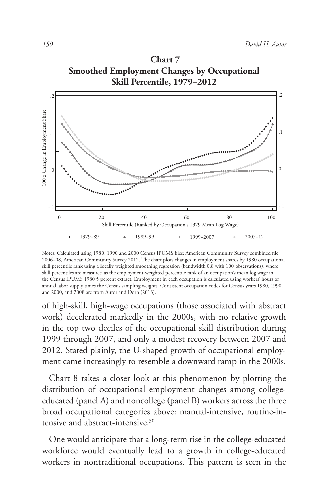

 **Chart 7 Smoothed Employment Changes by Occupational** 

Notes: Calculated using 1980, 1990 and 2000 Census IPUMS files; American Community Survey combined file 2006–08, American Community Survey 2012. The chart plots changes in employment shares by 1980 occupational skill percentile rank using a locally weighted smoothing regression (bandwidth 0.8 with 100 observations), where skill percentiles are measured as the employment-weighted percentile rank of an occupation's mean log wage in the Census IPUMS 1980 5 percent extract. Employment in each occupation is calculated using workers' hours of annual labor supply times the Census sampling weights. Consistent occupation codes for Census years 1980, 1990, and 2000, and 2008 are from Autor and Dorn (2013).

of high-skill, high-wage occupations (those associated with abstract work) decelerated markedly in the 2000s, with no relative growth in the top two deciles of the occupational skill distribution during 1999 through 2007, and only a modest recovery between 2007 and 2012. Stated plainly, the U-shaped growth of occupational employment came increasingly to resemble a downward ramp in the 2000s.

Chart 8 takes a closer look at this phenomenon by plotting the distribution of occupational employment changes among collegeeducated (panel A) and noncollege (panel B) workers across the three broad occupational categories above: manual-intensive, routine-intensive and abstract-intensive.30

One would anticipate that a long-term rise in the college-educated workforce would eventually lead to a growth in college-educated workers in nontraditional occupations. This pattern is seen in the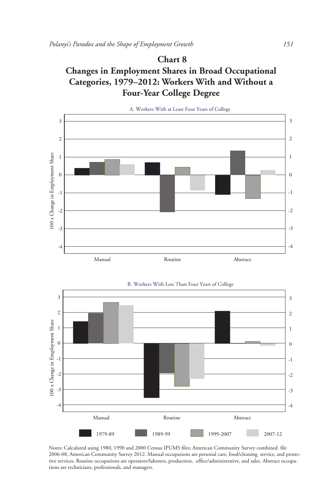#### **Chart 8**

# **Changes in Employment Shares in Broad Occupational Categories, 1979–2012: Workers With and Without a Four-Year College Degree**







Notes: Calculated using 1980, 1990 and 2000 Census IPUMS files; American Community Survey combined file 2006-08, American Community Survey 2012. Manual occupations are personal care, food/cleaning service, and protective services. Routine occupations are operators/laborers, production, office/administrative, and sales. Abstract occupations are technicians, professionals, and managers.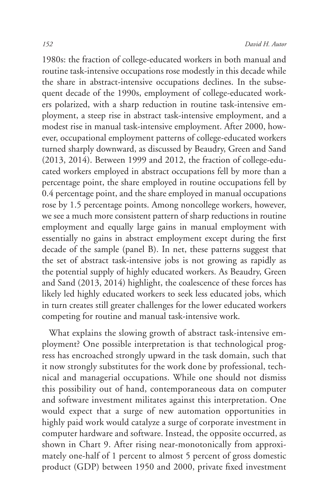1980s: the fraction of college-educated workers in both manual and routine task-intensive occupations rose modestly in this decade while the share in abstract-intensive occupations declines. In the subsequent decade of the 1990s, employment of college-educated workers polarized, with a sharp reduction in routine task-intensive employment, a steep rise in abstract task-intensive employment, and a modest rise in manual task-intensive employment. After 2000, however, occupational employment patterns of college-educated workers turned sharply downward, as discussed by Beaudry, Green and Sand (2013, 2014). Between 1999 and 2012, the fraction of college-educated workers employed in abstract occupations fell by more than a percentage point, the share employed in routine occupations fell by 0.4 percentage point, and the share employed in manual occupations rose by 1.5 percentage points. Among noncollege workers, however, we see a much more consistent pattern of sharp reductions in routine employment and equally large gains in manual employment with essentially no gains in abstract employment except during the first decade of the sample (panel B). In net, these patterns suggest that the set of abstract task-intensive jobs is not growing as rapidly as the potential supply of highly educated workers. As Beaudry, Green and Sand (2013, 2014) highlight, the coalescence of these forces has likely led highly educated workers to seek less educated jobs, which in turn creates still greater challenges for the lower educated workers competing for routine and manual task-intensive work.

What explains the slowing growth of abstract task-intensive employment? One possible interpretation is that technological progress has encroached strongly upward in the task domain, such that it now strongly substitutes for the work done by professional, technical and managerial occupations. While one should not dismiss this possibility out of hand, contemporaneous data on computer and software investment militates against this interpretation. One would expect that a surge of new automation opportunities in highly paid work would catalyze a surge of corporate investment in computer hardware and software. Instead, the opposite occurred, as shown in Chart 9. After rising near-monotonically from approximately one-half of 1 percent to almost 5 percent of gross domestic product (GDP) between 1950 and 2000, private fixed investment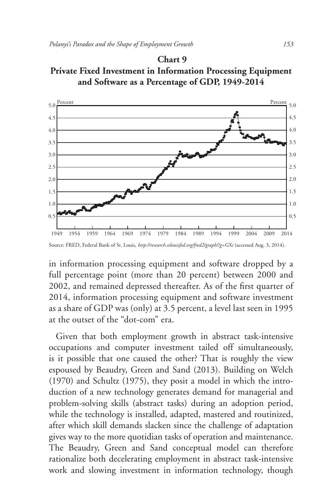



1949 1954 1959 1964 1969 1974 1979 1984 1989 1994 1999 2004 2009 2014

in information processing equipment and software dropped by a full percentage point (more than 20 percent) between 2000 and 2002, and remained depressed thereafter. As of the first quarter of 2014, information processing equipment and software investment as a share of GDP was (only) at 3.5 percent, a level last seen in 1995 at the outset of the "dot-com" era.

Given that both employment growth in abstract task-intensive occupations and computer investment tailed off simultaneously, is it possible that one caused the other? That is roughly the view espoused by Beaudry, Green and Sand (2013). Building on Welch (1970) and Schultz (1975), they posit a model in which the introduction of a new technology generates demand for managerial and problem-solving skills (abstract tasks) during an adoption period, while the technology is installed, adapted, mastered and routinized, after which skill demands slacken since the challenge of adaptation gives way to the more quotidian tasks of operation and maintenance. The Beaudry, Green and Sand conceptual model can therefore rationalize both decelerating employment in abstract task-intensive work and slowing investment in information technology, though

Source: FRED, Federal Bank of St. Louis, *http://research.stlouisfed.org/fred2/graph/?g=GXc* (accessed Aug. 3, 2014).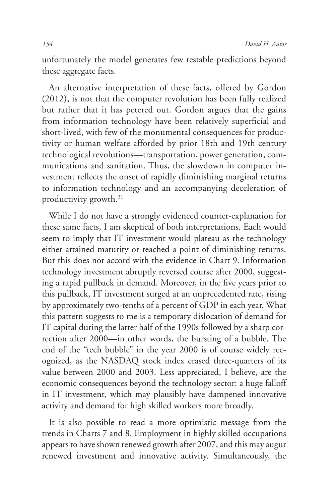unfortunately the model generates few testable predictions beyond these aggregate facts.

An alternative interpretation of these facts, offered by Gordon (2012), is not that the computer revolution has been fully realized but rather that it has petered out. Gordon argues that the gains from information technology have been relatively superficial and short-lived, with few of the monumental consequences for productivity or human welfare afforded by prior 18th and 19th century technological revolutions—transportation, power generation, communications and sanitation. Thus, the slowdown in computer investment reflects the onset of rapidly diminishing marginal returns to information technology and an accompanying deceleration of productivity growth.31

While I do not have a strongly evidenced counter-explanation for these same facts, I am skeptical of both interpretations. Each would seem to imply that IT investment would plateau as the technology either attained maturity or reached a point of diminishing returns. But this does not accord with the evidence in Chart 9. Information technology investment abruptly reversed course after 2000, suggesting a rapid pullback in demand. Moreover, in the five years prior to this pullback, IT investment surged at an unprecedented rate, rising by approximately two-tenths of a percent of GDP in each year. What this pattern suggests to me is a temporary dislocation of demand for IT capital during the latter half of the 1990s followed by a sharp correction after 2000—in other words, the bursting of a bubble. The end of the "tech bubble" in the year 2000 is of course widely recognized, as the NASDAQ stock index erased three-quarters of its value between 2000 and 2003. Less appreciated, I believe, are the economic consequences beyond the technology sector: a huge falloff in IT investment, which may plausibly have dampened innovative activity and demand for high skilled workers more broadly.

It is also possible to read a more optimistic message from the trends in Charts 7 and 8. Employment in highly skilled occupations appears to have shown renewed growth after 2007, and this may augur renewed investment and innovative activity. Simultaneously, the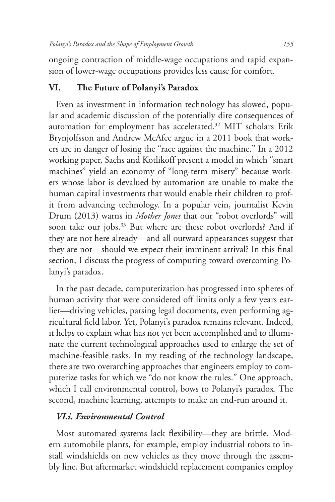ongoing contraction of middle-wage occupations and rapid expansion of lower-wage occupations provides less cause for comfort.

## **VI. The Future of Polanyi's Paradox**

Even as investment in information technology has slowed, popular and academic discussion of the potentially dire consequences of automation for employment has accelerated.<sup>32</sup> MIT scholars Erik Brynjolfsson and Andrew McAfee argue in a 2011 book that workers are in danger of losing the "race against the machine." In a 2012 working paper, Sachs and Kotlikoff present a model in which "smart machines" yield an economy of "long-term misery" because workers whose labor is devalued by automation are unable to make the human capital investments that would enable their children to profit from advancing technology. In a popular vein, journalist Kevin Drum (2013) warns in *Mother Jones* that our "robot overlords" will soon take our jobs.<sup>33</sup> But where are these robot overlords? And if they are not here already—and all outward appearances suggest that they are not—should we expect their imminent arrival? In this final section, I discuss the progress of computing toward overcoming Polanyi's paradox.

In the past decade, computerization has progressed into spheres of human activity that were considered off limits only a few years earlier—driving vehicles, parsing legal documents, even performing agricultural field labor. Yet, Polanyi's paradox remains relevant. Indeed, it helps to explain what has not yet been accomplished and to illuminate the current technological approaches used to enlarge the set of machine-feasible tasks. In my reading of the technology landscape, there are two overarching approaches that engineers employ to computerize tasks for which we "do not know the rules." One approach, which I call environmental control, bows to Polanyi's paradox. The second, machine learning, attempts to make an end-run around it.

## *VI.i. Environmental Control*

Most automated systems lack flexibility—they are brittle. Modern automobile plants, for example, employ industrial robots to install windshields on new vehicles as they move through the assembly line. But aftermarket windshield replacement companies employ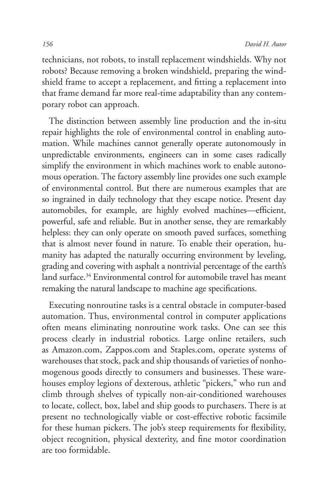technicians, not robots, to install replacement windshields. Why not robots? Because removing a broken windshield, preparing the windshield frame to accept a replacement, and fitting a replacement into that frame demand far more real-time adaptability than any contemporary robot can approach.

The distinction between assembly line production and the in-situ repair highlights the role of environmental control in enabling automation. While machines cannot generally operate autonomously in unpredictable environments, engineers can in some cases radically simplify the environment in which machines work to enable autonomous operation. The factory assembly line provides one such example of environmental control. But there are numerous examples that are so ingrained in daily technology that they escape notice. Present day automobiles, for example, are highly evolved machines—efficient, powerful, safe and reliable. But in another sense, they are remarkably helpless: they can only operate on smooth paved surfaces, something that is almost never found in nature. To enable their operation, humanity has adapted the naturally occurring environment by leveling, grading and covering with asphalt a nontrivial percentage of the earth's land surface.<sup>34</sup> Environmental control for automobile travel has meant remaking the natural landscape to machine age specifications.

Executing nonroutine tasks is a central obstacle in computer-based automation. Thus, environmental control in computer applications often means eliminating nonroutine work tasks. One can see this process clearly in industrial robotics. Large online retailers, such as Amazon.com, Zappos.com and Staples.com, operate systems of warehouses that stock, pack and ship thousands of varieties of nonhomogenous goods directly to consumers and businesses. These warehouses employ legions of dexterous, athletic "pickers," who run and climb through shelves of typically non-air-conditioned warehouses to locate, collect, box, label and ship goods to purchasers. There is at present no technologically viable or cost-effective robotic facsimile for these human pickers. The job's steep requirements for flexibility, object recognition, physical dexterity, and fine motor coordination are too formidable.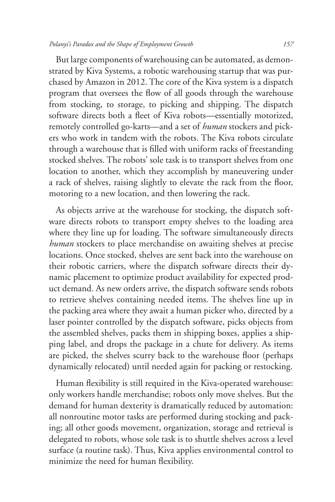But large components of warehousing can be automated, as demonstrated by Kiva Systems, a robotic warehousing startup that was purchased by Amazon in 2012. The core of the Kiva system is a dispatch program that oversees the flow of all goods through the warehouse from stocking, to storage, to picking and shipping. The dispatch software directs both a fleet of Kiva robots—essentially motorized, remotely controlled go-karts—and a set of *human* stockers and pickers who work in tandem with the robots. The Kiva robots circulate through a warehouse that is filled with uniform racks of freestanding stocked shelves. The robots' sole task is to transport shelves from one location to another, which they accomplish by maneuvering under a rack of shelves, raising slightly to elevate the rack from the floor, motoring to a new location, and then lowering the rack.

As objects arrive at the warehouse for stocking, the dispatch software directs robots to transport empty shelves to the loading area where they line up for loading. The software simultaneously directs *human* stockers to place merchandise on awaiting shelves at precise locations. Once stocked, shelves are sent back into the warehouse on their robotic carriers, where the dispatch software directs their dynamic placement to optimize product availability for expected product demand. As new orders arrive, the dispatch software sends robots to retrieve shelves containing needed items. The shelves line up in the packing area where they await a human picker who, directed by a laser pointer controlled by the dispatch software, picks objects from the assembled shelves, packs them in shipping boxes, applies a shipping label, and drops the package in a chute for delivery. As items are picked, the shelves scurry back to the warehouse floor (perhaps dynamically relocated) until needed again for packing or restocking.

Human flexibility is still required in the Kiva-operated warehouse: only workers handle merchandise; robots only move shelves. But the demand for human dexterity is dramatically reduced by automation: all nonroutine motor tasks are performed during stocking and packing; all other goods movement, organization, storage and retrieval is delegated to robots, whose sole task is to shuttle shelves across a level surface (a routine task). Thus, Kiva applies environmental control to minimize the need for human flexibility.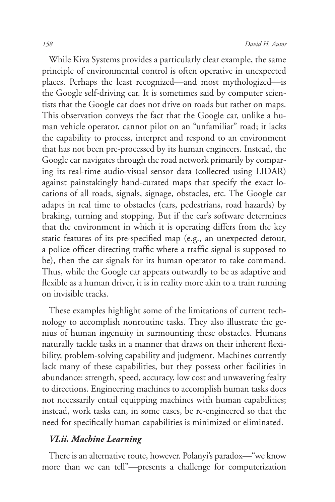While Kiva Systems provides a particularly clear example, the same principle of environmental control is often operative in unexpected places. Perhaps the least recognized—and most mythologized—is the Google self-driving car. It is sometimes said by computer scientists that the Google car does not drive on roads but rather on maps. This observation conveys the fact that the Google car, unlike a human vehicle operator, cannot pilot on an "unfamiliar" road; it lacks the capability to process, interpret and respond to an environment that has not been pre-processed by its human engineers. Instead, the Google car navigates through the road network primarily by comparing its real-time audio-visual sensor data (collected using LIDAR) against painstakingly hand-curated maps that specify the exact locations of all roads, signals, signage, obstacles, etc. The Google car adapts in real time to obstacles (cars, pedestrians, road hazards) by braking, turning and stopping. But if the car's software determines that the environment in which it is operating differs from the key static features of its pre-specified map (e.g., an unexpected detour, a police officer directing traffic where a traffic signal is supposed to be), then the car signals for its human operator to take command. Thus, while the Google car appears outwardly to be as adaptive and flexible as a human driver, it is in reality more akin to a train running on invisible tracks.

These examples highlight some of the limitations of current technology to accomplish nonroutine tasks. They also illustrate the genius of human ingenuity in surmounting these obstacles. Humans naturally tackle tasks in a manner that draws on their inherent flexibility, problem-solving capability and judgment. Machines currently lack many of these capabilities, but they possess other facilities in abundance: strength, speed, accuracy, low cost and unwavering fealty to directions. Engineering machines to accomplish human tasks does not necessarily entail equipping machines with human capabilities; instead, work tasks can, in some cases, be re-engineered so that the need for specifically human capabilities is minimized or eliminated.

## *VI.ii. Machine Learning*

There is an alternative route, however. Polanyi's paradox—"we know more than we can tell"—presents a challenge for computerization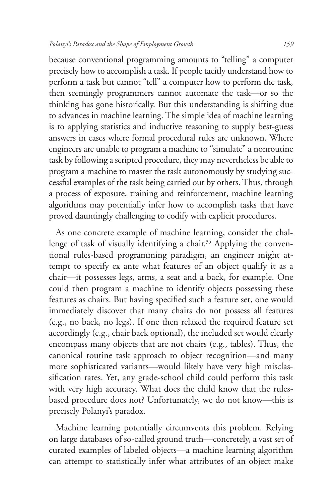because conventional programming amounts to "telling" a computer precisely how to accomplish a task. If people tacitly understand how to perform a task but cannot "tell" a computer how to perform the task, then seemingly programmers cannot automate the task—or so the thinking has gone historically. But this understanding is shifting due to advances in machine learning. The simple idea of machine learning is to applying statistics and inductive reasoning to supply best-guess answers in cases where formal procedural rules are unknown. Where engineers are unable to program a machine to "simulate" a nonroutine task by following a scripted procedure, they may nevertheless be able to program a machine to master the task autonomously by studying successful examples of the task being carried out by others. Thus, through a process of exposure, training and reinforcement, machine learning algorithms may potentially infer how to accomplish tasks that have proved dauntingly challenging to codify with explicit procedures.

As one concrete example of machine learning, consider the challenge of task of visually identifying a chair.<sup>35</sup> Applying the conventional rules-based programming paradigm, an engineer might attempt to specify ex ante what features of an object qualify it as a chair—it possesses legs, arms, a seat and a back, for example. One could then program a machine to identify objects possessing these features as chairs. But having specified such a feature set, one would immediately discover that many chairs do not possess all features (e.g., no back, no legs). If one then relaxed the required feature set accordingly (e.g., chair back optional), the included set would clearly encompass many objects that are not chairs (e.g., tables). Thus, the canonical routine task approach to object recognition—and many more sophisticated variants—would likely have very high misclassification rates. Yet, any grade-school child could perform this task with very high accuracy. What does the child know that the rulesbased procedure does not? Unfortunately, we do not know—this is precisely Polanyi's paradox.

Machine learning potentially circumvents this problem. Relying on large databases of so-called ground truth—concretely, a vast set of curated examples of labeled objects—a machine learning algorithm can attempt to statistically infer what attributes of an object make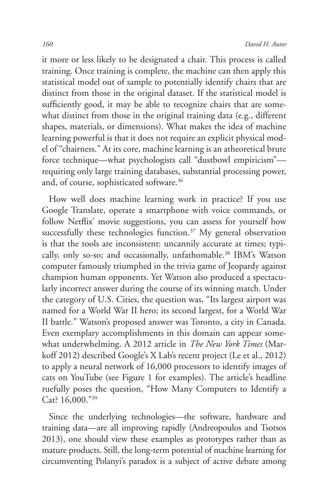it more or less likely to be designated a chair. This process is called training. Once training is complete, the machine can then apply this statistical model out of sample to potentially identify chairs that are distinct from those in the original dataset. If the statistical model is sufficiently good, it may be able to recognize chairs that are somewhat distinct from those in the original training data (e.g., different shapes, materials, or dimensions). What makes the idea of machine learning powerful is that it does not require an explicit physical model of "chairness." At its core, machine learning is an atheoretical brute force technique—what psychologists call "dustbowl empiricism" requiring only large training databases, substantial processing power, and, of course, sophisticated software.<sup>36</sup>

How well does machine learning work in practice? If you use Google Translate, operate a smartphone with voice commands, or follow Netflix' movie suggestions, you can assess for yourself how successfully these technologies function.<sup>37</sup> My general observation is that the tools are inconsistent: uncannily accurate at times; typically, only so-so; and occasionally, unfathomable.<sup>38</sup> IBM's Watson computer famously triumphed in the trivia game of Jeopardy against champion human opponents. Yet Watson also produced a spectacularly incorrect answer during the course of its winning match. Under the category of U.S. Cities, the question was, "Its largest airport was named for a World War II hero; its second largest, for a World War II battle." Watson's proposed answer was Toronto, a city in Canada. Even exemplary accomplishments in this domain can appear somewhat underwhelming. A 2012 article in *The New York Times* (Markoff 2012) described Google's X Lab's recent project (Le et al., 2012) to apply a neural network of 16,000 processors to identify images of cats on YouTube (see Figure 1 for examples). The article's headline ruefully poses the question, "How Many Computers to Identify a Cat? 16,000."39

Since the underlying technologies—the software, hardware and training data—are all improving rapidly (Andreopoulos and Tsotsos 2013), one should view these examples as prototypes rather than as mature products. Still, the long-term potential of machine learning for circumventing Polanyi's paradox is a subject of active debate among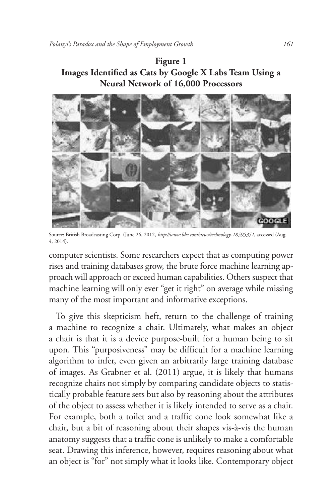**Figure 1 Images Identified as Cats by Google X Labs Team Using a Neural Network of 16,000 Processors**



Source: British Broadcasting Corp. (June 26, 2012, *http://www.bbc.com/news/technology-18595351*, accessed (Aug. 4, 2014).

computer scientists. Some researchers expect that as computing power rises and training databases grow, the brute force machine learning approach will approach or exceed human capabilities. Others suspect that machine learning will only ever "get it right" on average while missing many of the most important and informative exceptions.

To give this skepticism heft, return to the challenge of training a machine to recognize a chair. Ultimately, what makes an object a chair is that it is a device purpose-built for a human being to sit upon. This "purposiveness" may be difficult for a machine learning algorithm to infer, even given an arbitrarily large training database of images. As Grabner et al. (2011) argue, it is likely that humans recognize chairs not simply by comparing candidate objects to statistically probable feature sets but also by reasoning about the attributes of the object to assess whether it is likely intended to serve as a chair. For example, both a toilet and a traffic cone look somewhat like a chair, but a bit of reasoning about their shapes vis-à-vis the human anatomy suggests that a traffic cone is unlikely to make a comfortable seat. Drawing this inference, however, requires reasoning about what an object is "for" not simply what it looks like. Contemporary object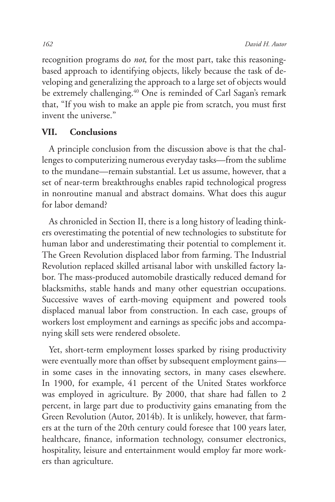recognition programs do *not*, for the most part, take this reasoningbased approach to identifying objects, likely because the task of developing and generalizing the approach to a large set of objects would be extremely challenging.<sup>40</sup> One is reminded of Carl Sagan's remark that, "If you wish to make an apple pie from scratch, you must first invent the universe."

#### **VII. Conclusions**

A principle conclusion from the discussion above is that the challenges to computerizing numerous everyday tasks—from the sublime to the mundane—remain substantial. Let us assume, however, that a set of near-term breakthroughs enables rapid technological progress in nonroutine manual and abstract domains. What does this augur for labor demand?

As chronicled in Section II, there is a long history of leading thinkers overestimating the potential of new technologies to substitute for human labor and underestimating their potential to complement it. The Green Revolution displaced labor from farming. The Industrial Revolution replaced skilled artisanal labor with unskilled factory labor. The mass-produced automobile drastically reduced demand for blacksmiths, stable hands and many other equestrian occupations. Successive waves of earth-moving equipment and powered tools displaced manual labor from construction. In each case, groups of workers lost employment and earnings as specific jobs and accompanying skill sets were rendered obsolete.

Yet, short-term employment losses sparked by rising productivity were eventually more than offset by subsequent employment gains in some cases in the innovating sectors, in many cases elsewhere. In 1900, for example, 41 percent of the United States workforce was employed in agriculture. By 2000, that share had fallen to 2 percent, in large part due to productivity gains emanating from the Green Revolution (Autor, 2014b). It is unlikely, however, that farmers at the turn of the 20th century could foresee that 100 years later, healthcare, finance, information technology, consumer electronics, hospitality, leisure and entertainment would employ far more workers than agriculture.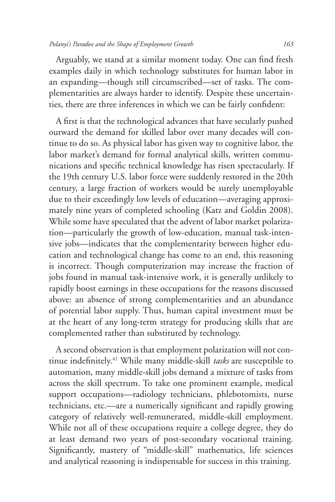Arguably, we stand at a similar moment today. One can find fresh examples daily in which technology substitutes for human labor in an expanding—though still circumscribed—set of tasks. The complementarities are always harder to identify. Despite these uncertainties, there are three inferences in which we can be fairly confident:

A first is that the technological advances that have secularly pushed outward the demand for skilled labor over many decades will continue to do so. As physical labor has given way to cognitive labor, the labor market's demand for formal analytical skills, written communications and specific technical knowledge has risen spectacularly. If the 19th century U.S. labor force were suddenly restored in the 20th century, a large fraction of workers would be surely unemployable due to their exceedingly low levels of education—averaging approximately nine years of completed schooling (Katz and Goldin 2008). While some have speculated that the advent of labor market polarization—particularly the growth of low-education, manual task-intensive jobs—indicates that the complementarity between higher education and technological change has come to an end, this reasoning is incorrect. Though computerization may increase the fraction of jobs found in manual task-intensive work, it is generally unlikely to rapidly boost earnings in these occupations for the reasons discussed above: an absence of strong complementarities and an abundance of potential labor supply. Thus, human capital investment must be at the heart of any long-term strategy for producing skills that are complemented rather than substituted by technology.

A second observation is that employment polarization will not continue indefinitely.41 While many middle-skill *tasks* are susceptible to automation, many middle-skill jobs demand a mixture of tasks from across the skill spectrum. To take one prominent example, medical support occupations—radiology technicians, phlebotomists, nurse technicians, etc.—are a numerically significant and rapidly growing category of relatively well-remunerated, middle-skill employment. While not all of these occupations require a college degree, they do at least demand two years of post-secondary vocational training. Significantly, mastery of "middle-skill" mathematics, life sciences and analytical reasoning is indispensable for success in this training.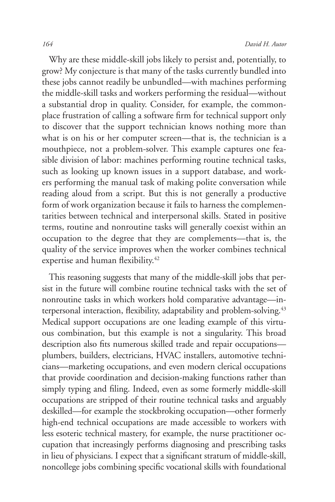Why are these middle-skill jobs likely to persist and, potentially, to grow? My conjecture is that many of the tasks currently bundled into these jobs cannot readily be unbundled—with machines performing the middle-skill tasks and workers performing the residual—without a substantial drop in quality. Consider, for example, the commonplace frustration of calling a software firm for technical support only to discover that the support technician knows nothing more than what is on his or her computer screen—that is, the technician is a mouthpiece, not a problem-solver. This example captures one feasible division of labor: machines performing routine technical tasks, such as looking up known issues in a support database, and workers performing the manual task of making polite conversation while reading aloud from a script. But this is not generally a productive form of work organization because it fails to harness the complementarities between technical and interpersonal skills. Stated in positive terms, routine and nonroutine tasks will generally coexist within an occupation to the degree that they are complements—that is, the quality of the service improves when the worker combines technical expertise and human flexibility.<sup>42</sup>

This reasoning suggests that many of the middle-skill jobs that persist in the future will combine routine technical tasks with the set of nonroutine tasks in which workers hold comparative advantage—interpersonal interaction, flexibility, adaptability and problem-solving.<sup>43</sup> Medical support occupations are one leading example of this virtuous combination, but this example is not a singularity. This broad description also fits numerous skilled trade and repair occupations plumbers, builders, electricians, HVAC installers, automotive technicians—marketing occupations, and even modern clerical occupations that provide coordination and decision-making functions rather than simply typing and filing. Indeed, even as some formerly middle-skill occupations are stripped of their routine technical tasks and arguably deskilled—for example the stockbroking occupation—other formerly high-end technical occupations are made accessible to workers with less esoteric technical mastery, for example, the nurse practitioner occupation that increasingly performs diagnosing and prescribing tasks in lieu of physicians. I expect that a significant stratum of middle-skill, noncollege jobs combining specific vocational skills with foundational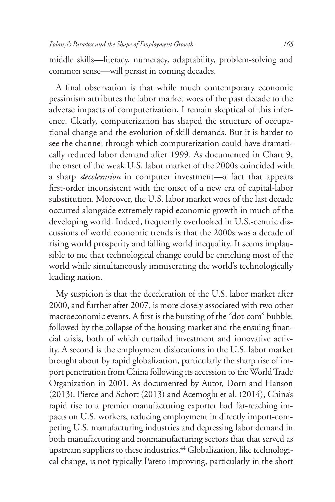middle skills—literacy, numeracy, adaptability, problem-solving and common sense—will persist in coming decades.

A final observation is that while much contemporary economic pessimism attributes the labor market woes of the past decade to the adverse impacts of computerization, I remain skeptical of this inference. Clearly, computerization has shaped the structure of occupational change and the evolution of skill demands. But it is harder to see the channel through which computerization could have dramatically reduced labor demand after 1999. As documented in Chart 9, the onset of the weak U.S. labor market of the 2000s coincided with a sharp *deceleration* in computer investment—a fact that appears first-order inconsistent with the onset of a new era of capital-labor substitution. Moreover, the U.S. labor market woes of the last decade occurred alongside extremely rapid economic growth in much of the developing world. Indeed, frequently overlooked in U.S.-centric discussions of world economic trends is that the 2000s was a decade of rising world prosperity and falling world inequality. It seems implausible to me that technological change could be enriching most of the world while simultaneously immiserating the world's technologically leading nation.

My suspicion is that the deceleration of the U.S. labor market after 2000, and further after 2007, is more closely associated with two other macroeconomic events. A first is the bursting of the "dot-com" bubble, followed by the collapse of the housing market and the ensuing financial crisis, both of which curtailed investment and innovative activity. A second is the employment dislocations in the U.S. labor market brought about by rapid globalization, particularly the sharp rise of import penetration from China following its accession to the World Trade Organization in 2001. As documented by Autor, Dorn and Hanson (2013), Pierce and Schott (2013) and Acemoglu et al. (2014), China's rapid rise to a premier manufacturing exporter had far-reaching impacts on U.S. workers, reducing employment in directly import-competing U.S. manufacturing industries and depressing labor demand in both manufacturing and nonmanufacturing sectors that that served as upstream suppliers to these industries.<sup>44</sup> Globalization, like technological change, is not typically Pareto improving, particularly in the short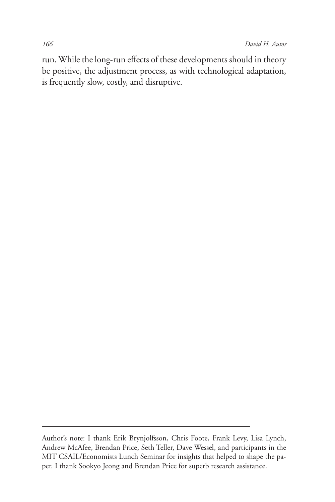run. While the long-run effects of these developments should in theory be positive, the adjustment process, as with technological adaptation, is frequently slow, costly, and disruptive.

Author's note: I thank Erik Brynjolfsson, Chris Foote, Frank Levy, Lisa Lynch, Andrew McAfee, Brendan Price, Seth Teller, Dave Wessel, and participants in the MIT CSAIL/Economists Lunch Seminar for insights that helped to shape the paper. I thank Sookyo Jeong and Brendan Price for superb research assistance.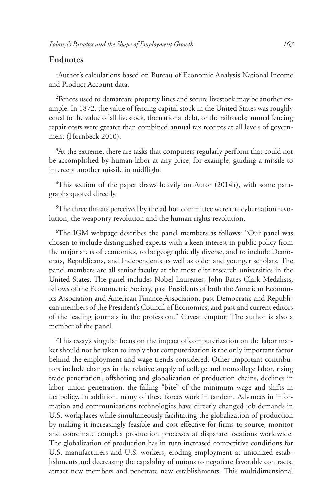#### **Endnotes**

<sup>1</sup>Author's calculations based on Bureau of Economic Analysis National Income and Product Account data.

<sup>2</sup>Fences used to demarcate property lines and secure livestock may be another example. In 1872, the value of fencing capital stock in the United States was roughly equal to the value of all livestock, the national debt, or the railroads; annual fencing repair costs were greater than combined annual tax receipts at all levels of government (Hornbeck 2010).

<sup>3</sup>At the extreme, there are tasks that computers regularly perform that could not be accomplished by human labor at any price, for example, guiding a missile to intercept another missile in midflight.

4 This section of the paper draws heavily on Autor (2014a), with some paragraphs quoted directly.

5 The three threats perceived by the ad hoc committee were the cybernation revolution, the weaponry revolution and the human rights revolution.

6 The IGM webpage describes the panel members as follows: "Our panel was chosen to include distinguished experts with a keen interest in public policy from the major areas of economics, to be geographically diverse, and to include Democrats, Republicans, and Independents as well as older and younger scholars. The panel members are all senior faculty at the most elite research universities in the United States. The panel includes Nobel Laureates, John Bates Clark Medalists, fellows of the Econometric Society, past Presidents of both the American Economics Association and American Finance Association, past Democratic and Republican members of the President's Council of Economics, and past and current editors of the leading journals in the profession." Caveat emptor: The author is also a member of the panel.

7 This essay's singular focus on the impact of computerization on the labor market should not be taken to imply that computerization is the only important factor behind the employment and wage trends considered. Other important contributors include changes in the relative supply of college and noncollege labor, rising trade penetration, offshoring and globalization of production chains, declines in labor union penetration, the falling "bite" of the minimum wage and shifts in tax policy. In addition, many of these forces work in tandem. Advances in information and communications technologies have directly changed job demands in U.S. workplaces while simultaneously facilitating the globalization of production by making it increasingly feasible and cost-effective for firms to source, monitor and coordinate complex production processes at disparate locations worldwide. The globalization of production has in turn increased competitive conditions for U.S. manufacturers and U.S. workers, eroding employment at unionized establishments and decreasing the capability of unions to negotiate favorable contracts, attract new members and penetrate new establishments. This multidimensional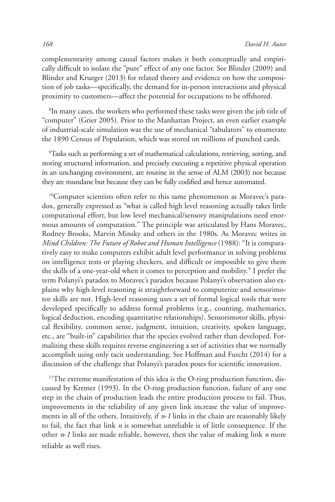complementarity among causal factors makes it both conceptually and empirically difficult to isolate the "pure" effect of any one factor. See Blinder (2009) and Blinder and Krueger (2013) for related theory and evidence on how the composition of job tasks—specifically, the demand for in-person interactions and physical proximity to customers—affect the potential for occupations to be offshored.

8 In many cases, the workers who performed these tasks were given the job title of "computer" (Grier 2005). Prior to the Manhattan Project, an even earlier example of industrial-scale simulation was the use of mechanical "tabulators" to enumerate the 1890 Census of Population, which was stored on millions of punched cards.

9 Tasks such as performing a set of mathematical calculations, retrieving, sorting, and storing structured information, and precisely executing a repetitive physical operation in an unchanging environment, are routine in the sense of ALM (2003) not because they are mundane but because they can be fully codified and hence automated.

<sup>10</sup>Computer scientists often refer to this same phenomenon as Moravec's paradox, generally expressed as "what is called high level reasoning actually takes little computational effort, but low level mechanical/sensory manipulations need enormous amounts of computation." The principle was articulated by Hans Moravec, Rodney Brooks, Marvin Minsky and others in the 1980s. As Moravec writes in *Mind Children: The Future of Robot and Human Intelligence* (1988): "It is comparatively easy to make computers exhibit adult level performance in solving problems on intelligence tests or playing checkers, and difficult or impossible to give them the skills of a one-year-old when it comes to perception and mobility." I prefer the term Polanyi's paradox to Moravec's paradox because Polanyi's observation also explains why high-level reasoning is straightforward to computerize and sensorimotor skills are not. High-level reasoning uses a set of formal logical tools that were developed specifically to address formal problems (e.g., counting, mathematics, logical deduction, encoding quantitative relationships). Sensorimotor skills, physical flexibility, common sense, judgment, intuition, creativity, spoken language, etc., are "built-in" capabilities that the species evolved rather than developed. Formalizing these skills requires reverse engineering a set of activities that we normally accomplish using only tacit understanding. See Hoffman and Furcht (2014) for a discussion of the challenge that Polanyi's paradox poses for scientific innovation.

<sup>11</sup>The extreme manifestation of this idea is the O-ring production function, discussed by Kremer (1993). In the O-ring production function, failure of any one step in the chain of production leads the entire production process to fail. Thus, improvements in the reliability of any given link increase the value of improvements in all of the others. Intuitively, if *n*-*1* links in the chain are reasonably likely to fail, the fact that link *n* is somewhat unreliable is of little consequence. If the other *n*-*1* links are made reliable, however, then the value of making link *n* more reliable as well rises.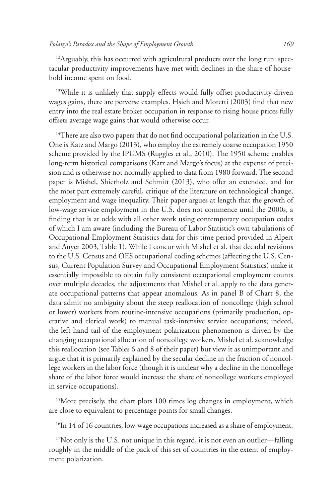<sup>12</sup>Arguably, this has occurred with agricultural products over the long run: spectacular productivity improvements have met with declines in the share of household income spent on food.

<sup>13</sup>While it is unlikely that supply effects would fully offset productivity-driven wages gains, there are perverse examples. Hsieh and Moretti (2003) find that new entry into the real estate broker occupation in response to rising house prices fully offsets average wage gains that would otherwise occur.

 $14$ There are also two papers that do not find occupational polarization in the U.S. One is Katz and Margo (2013), who employ the extremely coarse occupation 1950 scheme provided by the IPUMS (Ruggles et al., 2010). The 1950 scheme enables long-term historical comparisons (Katz and Margo's focus) at the expense of precision and is otherwise not normally applied to data from 1980 forward. The second paper is Mishel, Shierholz and Schmitt (2013), who offer an extended, and for the most part extremely careful, critique of the literature on technological change, employment and wage inequality. Their paper argues at length that the growth of low-wage service employment in the U.S. does not commence until the 2000s, a finding that is at odds with all other work using contemporary occupation codes of which I am aware (including the Bureau of Labor Statistic's own tabulations of Occupational Employment Statistics data for this time period provided in Alpert and Auyer 2003, Table 1). While I concur with Mishel et al. that decadal revisions to the U.S. Census and OES occupational coding schemes (affecting the U.S. Census, Current Population Survey and Occupational Employment Statistics) make it essentially impossible to obtain fully consistent occupational employment counts over multiple decades, the adjustments that Mishel et al. apply to the data generate occupational patterns that appear anomalous. As in panel B of Chart 8, the data admit no ambiguity about the steep reallocation of noncollege (high school or lower) workers from routine-intensive occupations (primarily production, operative and clerical work) to manual task-intensive service occupations; indeed, the left-hand tail of the employment polarization phenomenon is driven by the changing occupational allocation of noncollege workers. Mishel et al. acknowledge this reallocation (see Tables 6 and 8 of their paper) but view it as unimportant and argue that it is primarily explained by the secular decline in the fraction of noncollege workers in the labor force (though it is unclear why a decline in the noncollege share of the labor force would increase the share of noncollege workers employed in service occupations).

<sup>15</sup>More precisely, the chart plots 100 times log changes in employment, which are close to equivalent to percentage points for small changes.

<sup>16</sup>In 14 of 16 countries, low-wage occupations increased as a share of employment.

17Not only is the U.S. not unique in this regard, it is not even an outlier—falling roughly in the middle of the pack of this set of countries in the extent of employment polarization.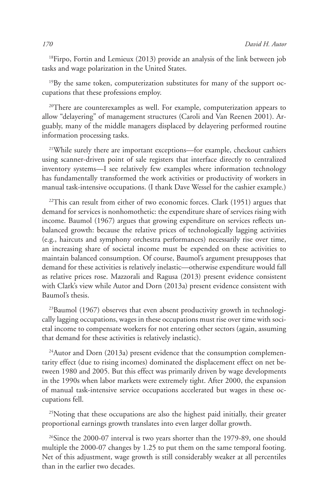18Firpo, Fortin and Lemieux (2013) provide an analysis of the link between job tasks and wage polarization in the United States.

<sup>19</sup>By the same token, computerization substitutes for many of the support occupations that these professions employ.

<sup>20</sup>There are counterexamples as well. For example, computerization appears to allow "delayering" of management structures (Caroli and Van Reenen 2001). Arguably, many of the middle managers displaced by delayering performed routine information processing tasks.

21While surely there are important exceptions—for example, checkout cashiers using scanner-driven point of sale registers that interface directly to centralized inventory systems—I see relatively few examples where information technology has fundamentally transformed the work activities or productivity of workers in manual task-intensive occupations. (I thank Dave Wessel for the cashier example.)

 $22$ This can result from either of two economic forces. Clark (1951) argues that demand for services is nonhomothetic: the expenditure share of services rising with income. Baumol (1967) argues that growing expenditure on services reflects unbalanced growth: because the relative prices of technologically lagging activities (e.g., haircuts and symphony orchestra performances) necessarily rise over time, an increasing share of societal income must be expended on these activities to maintain balanced consumption. Of course, Baumol's argument presupposes that demand for these activities is relatively inelastic—otherwise expenditure would fall as relative prices rose. Mazzorali and Ragusa (2013) present evidence consistent with Clark's view while Autor and Dorn (2013a) present evidence consistent with Baumol's thesis.

<sup>23</sup>Baumol (1967) observes that even absent productivity growth in technologically lagging occupations, wages in these occupations must rise over time with societal income to compensate workers for not entering other sectors (again, assuming that demand for these activities is relatively inelastic).

 $24$ Autor and Dorn (2013a) present evidence that the consumption complementarity effect (due to rising incomes) dominated the displacement effect on net between 1980 and 2005. But this effect was primarily driven by wage developments in the 1990s when labor markets were extremely tight. After 2000, the expansion of manual task-intensive service occupations accelerated but wages in these occupations fell.

 $25$ Noting that these occupations are also the highest paid initially, their greater proportional earnings growth translates into even larger dollar growth.

<sup>26</sup>Since the 2000-07 interval is two years shorter than the 1979-89, one should multiple the 2000-07 changes by 1.25 to put them on the same temporal footing. Net of this adjustment, wage growth is still considerably weaker at all percentiles than in the earlier two decades.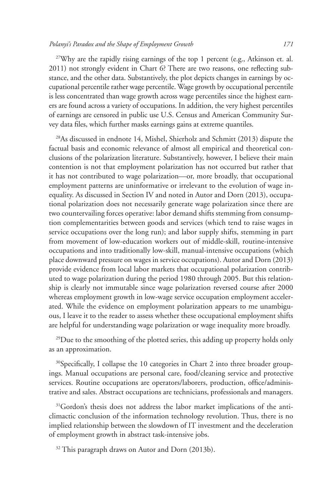$27$ Why are the rapidly rising earnings of the top 1 percent (e.g., Atkinson et. al. 2011) not strongly evident in Chart 6? There are two reasons, one reflecting substance, and the other data. Substantively, the plot depicts changes in earnings by occupational percentile rather wage percentile. Wage growth by occupational percentile is less concentrated than wage growth across wage percentiles since the highest earners are found across a variety of occupations. In addition, the very highest percentiles of earnings are censored in public use U.S. Census and American Community Survey data files, which further masks earnings gains at extreme quantiles.

28As discussed in endnote 14, Mishel, Shierholz and Schmitt (2013) dispute the factual basis and economic relevance of almost all empirical and theoretical conclusions of the polarization literature. Substantively, however, I believe their main contention is not that employment polarization has not occurred but rather that it has not contributed to wage polarization—or, more broadly, that occupational employment patterns are uninformative or irrelevant to the evolution of wage inequality. As discussed in Section IV and noted in Autor and Dorn (2013), occupational polarization does not necessarily generate wage polarization since there are two countervailing forces operative: labor demand shifts stemming from consumption complementarities between goods and services (which tend to raise wages in service occupations over the long run); and labor supply shifts, stemming in part from movement of low-education workers out of middle-skill, routine-intensive occupations and into traditionally low-skill, manual-intensive occupations (which place downward pressure on wages in service occupations). Autor and Dorn (2013) provide evidence from local labor markets that occupational polarization contributed to wage polarization during the period 1980 through 2005. But this relationship is clearly not immutable since wage polarization reversed course after 2000 whereas employment growth in low-wage service occupation employment accelerated. While the evidence on employment polarization appears to me unambiguous, I leave it to the reader to assess whether these occupational employment shifts are helpful for understanding wage polarization or wage inequality more broadly.

<sup>29</sup>Due to the smoothing of the plotted series, this adding up property holds only as an approximation.

<sup>30</sup>Specifically, I collapse the 10 categories in Chart 2 into three broader groupings. Manual occupations are personal care, food/cleaning service and protective services. Routine occupations are operators/laborers, production, office/administrative and sales. Abstract occupations are technicians, professionals and managers.

<sup>31</sup>Gordon's thesis does not address the labor market implications of the anticlimactic conclusion of the information technology revolution. Thus, there is no implied relationship between the slowdown of IT investment and the deceleration of employment growth in abstract task-intensive jobs.

<sup>32</sup> This paragraph draws on Autor and Dorn (2013b).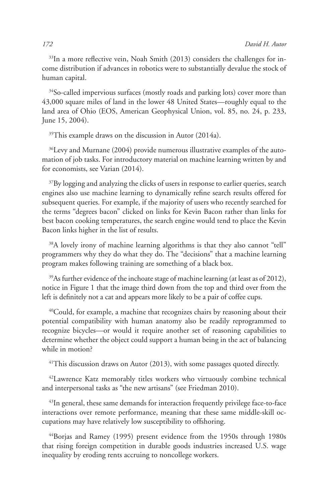<sup>33</sup>In a more reflective vein, Noah Smith (2013) considers the challenges for income distribution if advances in robotics were to substantially devalue the stock of human capital.

<sup>34</sup>So-called impervious surfaces (mostly roads and parking lots) cover more than 43,000 square miles of land in the lower 48 United States—roughly equal to the land area of Ohio (EOS, American Geophysical Union, vol. 85, no. 24, p. 233, June 15, 2004).

<sup>35</sup>This example draws on the discussion in Autor (2014a).

36Levy and Murnane (2004) provide numerous illustrative examples of the automation of job tasks. For introductory material on machine learning written by and for economists, see Varian (2014).

<sup>37</sup>By logging and analyzing the clicks of users in response to earlier queries, search engines also use machine learning to dynamically refine search results offered for subsequent queries. For example, if the majority of users who recently searched for the terms "degrees bacon" clicked on links for Kevin Bacon rather than links for best bacon cooking temperatures, the search engine would tend to place the Kevin Bacon links higher in the list of results.

38A lovely irony of machine learning algorithms is that they also cannot "tell" programmers why they do what they do. The "decisions" that a machine learning program makes following training are something of a black box.

 $39$ As further evidence of the inchoate stage of machine learning (at least as of 2012), notice in Figure 1 that the image third down from the top and third over from the left is definitely not a cat and appears more likely to be a pair of coffee cups.

 $^{40}$ Could, for example, a machine that recognizes chairs by reasoning about their potential compatibility with human anatomy also be readily reprogrammed to recognize bicycles—or would it require another set of reasoning capabilities to determine whether the object could support a human being in the act of balancing while in motion?

<sup>41</sup>This discussion draws on Autor (2013), with some passages quoted directly.

<sup>42</sup>Lawrence Katz memorably titles workers who virtuously combine technical and interpersonal tasks as "the new artisans" (see Friedman 2010).

43In general, these same demands for interaction frequently privilege face-to-face interactions over remote performance, meaning that these same middle-skill occupations may have relatively low susceptibility to offshoring.

44Borjas and Ramey (1995) present evidence from the 1950s through 1980s that rising foreign competition in durable goods industries increased U.S. wage inequality by eroding rents accruing to noncollege workers.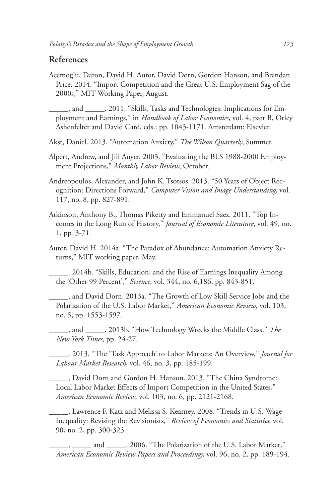#### **References**

Acemoglu, Daron, David H. Autor, David Dorn, Gordon Hanson, and Brendan Price. 2014. "Import Competition and the Great U.S. Employment Sag of the 2000s," MIT Working Paper, August.

\_\_\_\_\_, and \_\_\_\_\_. 2011. "Skills, Tasks and Technologies: Implications for Employment and Earnings," in *Handbook of Labor Economics*, vol. 4, part B, Orley Ashenfelter and David Card, eds.: pp. 1043-1171. Amsterdam: Elsevier.

Akst, Daniel. 2013. "Automation Anxiety," *The Wilson Quarterly*, Summer.

- Alpert, Andrew, and Jill Auyer. 2003. "Evaluating the BLS 1988-2000 Employment Projections," *Monthly Labor Review*, October.
- Andreopoulos, Alexander, and John K. Tsotsos. 2013. "50 Years of Object Recognition: Directions Forward," *Computer Vision and Image Understanding*, vol. 117, no. 8, pp. 827-891.
- Atkinson, Anthony B., Thomas Piketty and Emmanuel Saez. 2011. "Top Incomes in the Long Run of History," *Journal of Economic Literature*, vol. 49, no. 1, pp. 3-71.
- Autor, David H. 2014a. "The Paradox of Abundance: Automation Anxiety Returns," MIT working paper, May.

\_\_\_\_\_. 2014b. "Skills, Education, and the Rise of Earnings Inequality Among the 'Other 99 Percent'," *Science*, vol. 344, no. 6,186, pp. 843-851.

\_\_\_\_\_, and David Dorn. 2013a. "The Growth of Low Skill Service Jobs and the Polarization of the U.S. Labor Market," *American Economic Review*, vol. 103, no. 5, pp. 1553-1597.

\_\_\_\_\_, and \_\_\_\_\_. 2013b. "How Technology Wrecks the Middle Class," *The New York Times*, pp. 24-27.

\_\_\_\_\_. 2013. "The 'Task Approach' to Labor Markets: An Overview," *Journal for Labour Market Research*, vol. 46, no. 3, pp. 185-199.

\_\_\_\_\_, David Dorn and Gordon H. Hanson. 2013. "The China Syndrome: Local Labor Market Effects of Import Competition in the United States," *American Economic Review*, vol. 103, no. 6, pp. 2121-2168.

\_\_\_\_\_, Lawrence F. Katz and Melissa S. Kearney. 2008. "Trends in U.S. Wage Inequality: Revising the Revisionists," *Review of Economics and Statistics*, vol. 90, no. 2, pp. 300-323.

\_\_\_\_\_, \_\_\_\_\_ and \_\_\_\_\_. 2006. "The Polarization of the U.S. Labor Market," *American Economic Review Papers and Proceedings*, vol. 96, no. 2, pp. 189-194.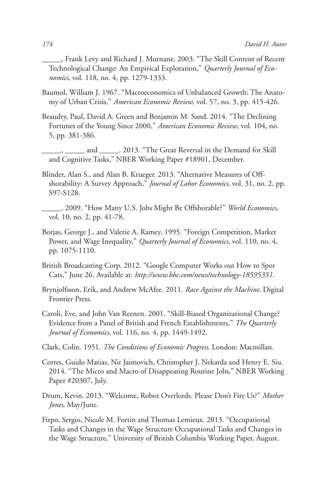\_\_\_\_\_, Frank Levy and Richard J. Murnane. 2003. "The Skill Content of Recent Technological Change: An Empirical Exploration," *Quarterly Journal of Economics*, vol. 118, no. 4, pp. 1279-1333.

- Baumol, William J. 1967. "Macroeconomics of Unbalanced Growth: The Anatomy of Urban Crisis," *American Economic Review*, vol. 57, no. 3, pp. 415-426.
- Beaudry, Paul, David A. Green and Benjamin M. Sand. 2014. "The Declining Fortunes of the Young Since 2000," *American Economic Review*, vol. 104, no. 5, pp. 381-386.
- \_\_\_\_\_, \_\_\_\_\_ and \_\_\_\_\_. 2013. "The Great Reversal in the Demand for Skill and Cognitive Tasks," NBER Working Paper #18901, December.
- Blinder, Alan S., and Alan B. Krueger. 2013. "Alternative Measures of Offshorability: A Survey Approach," *Journal of Labor Economics*, vol. 31, no. 2, pp. S97-S128.
- \_\_\_\_\_. 2009. "How Many U.S. Jobs Might Be Offshorable?" *World Economics*, vol. 10, no. 2, pp. 41-78.
- Borjas, George J., and Valerie A. Ramey. 1995. "Foreign Competition, Market Power, and Wage Inequality," *Quarterly Journal of Economics*, vol. 110, no. 4, pp. 1075-1110.
- British Broadcasting Corp. 2012. "Google Computer Works out How to Spot Cats," June 26. Available at: *http://www.bbc.com/news/technology-18595351*.
- Brynjolfsson, Erik, and Andrew McAfee. 2011. *Race Against the Machine*. Digital Frontier Press.
- Caroli, Eve, and John Van Reenen. 2001. "Skill-Biased Organizational Change? Evidence from a Panel of British and French Establishments," *The Quarterly Journal of Economics*, vol. 116, no. 4, pp. 1449-1492.
- Clark, Colin. 1951. *The Conditions of Economic Progress*. London: Macmillan.
- Cortes, Guido Matias, Nir Jaimovich, Christopher J. Nekarda and Henry E. Siu. 2014. "The Micro and Macro of Disappearing Routine Jobs," NBER Working Paper #20307, July.
- Drum, Kevin. 2013. "Welcome, Robot Overlords. Please Don't Fire Us?" *Mother Jones*, May/June.
- Firpo, Sergio, Nicole M. Fortin and Thomas Lemieux. 2013. "Occupational Tasks and Changes in the Wage Structure Occupational Tasks and Changes in the Wage Structure," University of British Columbia Working Paper, August.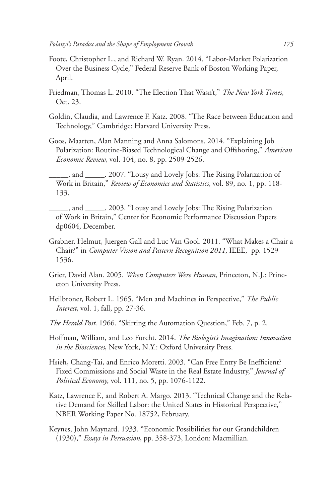- Foote, Christopher L., and Richard W. Ryan. 2014. "Labor-Market Polarization Over the Business Cycle," Federal Reserve Bank of Boston Working Paper, April.
- Friedman, Thomas L. 2010. "The Election That Wasn't," *The New York Times*, Oct. 23.
- Goldin, Claudia, and Lawrence F. Katz. 2008. "The Race between Education and Technology," Cambridge: Harvard University Press.
- Goos, Maarten, Alan Manning and Anna Salomons. 2014. "Explaining Job Polarization: Routine-Biased Technological Change and Offshoring," *American Economic Review*, vol. 104, no. 8, pp. 2509-2526.
- \_\_\_\_\_, and \_\_\_\_\_. 2007. "Lousy and Lovely Jobs: The Rising Polarization of Work in Britain," *Review of Economics and Statistics*, vol. 89, no. 1, pp. 118- 133.
- \_\_\_\_\_, and \_\_\_\_\_. 2003. "Lousy and Lovely Jobs: The Rising Polarization of Work in Britain," Center for Economic Performance Discussion Papers dp0604, December.
- Grabner, Helmut, Juergen Gall and Luc Van Gool. 2011. "What Makes a Chair a Chair?" in *Computer Vision and Pattern Recognition 2011*, IEEE, pp. 1529- 1536.
- Grier, David Alan. 2005. *When Computers Were Human*, Princeton, N.J.: Princeton University Press.
- Heilbroner, Robert L. 1965. "Men and Machines in Perspective," *The Public Interest*, vol. 1, fall, pp. 27-36.
- *The Herald Post*. 1966. "Skirting the Automation Question," Feb. 7, p. 2.
- Hoffman, William, and Leo Furcht. 2014. *The Biologist's Imagination: Innovation in the Biosciences*, New York, N.Y.: Oxford University Press.
- Hsieh, Chang-Tai, and Enrico Moretti. 2003. "Can Free Entry Be Inefficient? Fixed Commissions and Social Waste in the Real Estate Industry," *Journal of Political Economy*, vol. 111, no. 5, pp. 1076-1122.
- Katz, Lawrence F., and Robert A. Margo. 2013. "Technical Change and the Relative Demand for Skilled Labor: the United States in Historical Perspective," NBER Working Paper No. 18752, February.
- Keynes, John Maynard. 1933. "Economic Possibilities for our Grandchildren (1930)," *Essays in Persuasion*, pp. 358-373, London: Macmillian.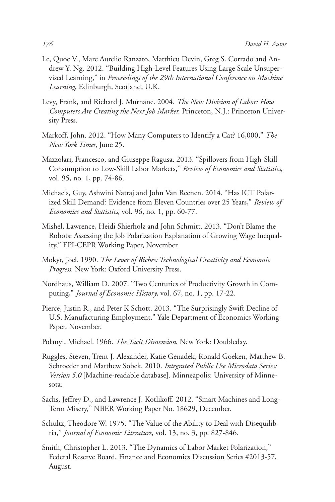- Le, Quoc V., Marc Aurelio Ranzato, Matthieu Devin, Greg S. Corrado and Andrew Y. Ng. 2012. "Building High-Level Features Using Large Scale Unsupervised Learning," in *Proceedings of the 29th International Conference on Machine Learning*, Edinburgh, Scotland, U.K.
- Levy, Frank, and Richard J. Murnane. 2004. *The New Division of Labor: How Computers Are Creating the Next Job Market*. Princeton, N.J.: Princeton University Press.
- Markoff, John. 2012. "How Many Computers to Identify a Cat? 16,000," *The New York Times*, June 25.
- Mazzolari, Francesco, and Giuseppe Ragusa. 2013. "Spillovers from High-Skill Consumption to Low-Skill Labor Markets," *Review of Economics and Statistics*, vol. 95, no. 1, pp. 74-86.
- Michaels, Guy, Ashwini Natraj and John Van Reenen. 2014. "Has ICT Polarized Skill Demand? Evidence from Eleven Countries over 25 Years," *Review of Economics and Statistics*, vol. 96, no. 1, pp. 60-77.
- Mishel, Lawrence, Heidi Shierholz and John Schmitt. 2013. "Don't Blame the Robots: Assessing the Job Polarization Explanation of Growing Wage Inequality," EPI-CEPR Working Paper, November.
- Mokyr, Joel. 1990. *The Lever of Riches: Technological Creativity and Economic Progress*. New York: Oxford University Press.
- Nordhaus, William D. 2007. "Two Centuries of Productivity Growth in Computing," *Journal of Economic History*, vol. 67, no. 1, pp. 17-22.
- Pierce, Justin R., and Peter K Schott. 2013. "The Surprisingly Swift Decline of U.S. Manufacturing Employment," Yale Department of Economics Working Paper, November.
- Polanyi, Michael. 1966. *The Tacit Dimension*. New York: Doubleday.
- Ruggles, Steven, Trent J. Alexander, Katie Genadek, Ronald Goeken, Matthew B. Schroeder and Matthew Sobek. 2010. *Integrated Public Use Microdata Series: Version 5.0* [Machine-readable database]. Minneapolis: University of Minnesota.
- Sachs, Jeffrey D., and Lawrence J. Kotlikoff. 2012. "Smart Machines and Long-Term Misery," NBER Working Paper No. 18629, December.
- Schultz, Theodore W. 1975. "The Value of the Ability to Deal with Disequilibria," *Journal of Economic Literature*, vol. 13, no. 3, pp. 827-846.
- Smith, Christopher L. 2013. "The Dynamics of Labor Market Polarization," Federal Reserve Board, Finance and Economics Discussion Series #2013-57, August.